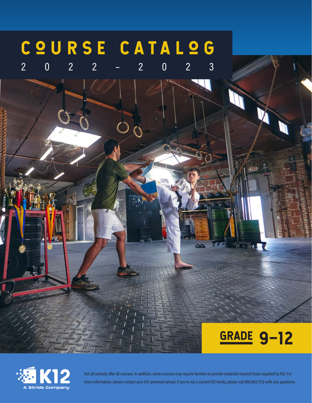## COURSE CATALOG

2022–2023



Yn ≱



Not all schools offer all courses. In addition, some courses may require families to provide materials beyond those supplied by K12. For more information, please contact your K12-powered school. If you're not a current K12 family, please call 866.968.7512 with any questions.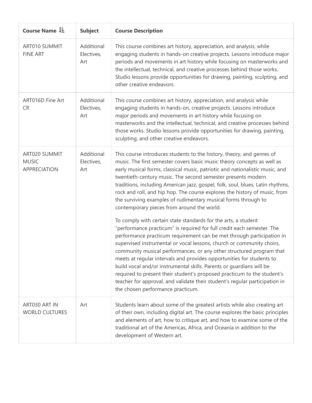| Course Name $1\frac{1}{2}$                           | <b>Subject</b>                  | <b>Course Description</b>                                                                                                                                                                                                                                                                                                                                                                                                                                                                                                                                                                                                                                                                                          |
|------------------------------------------------------|---------------------------------|--------------------------------------------------------------------------------------------------------------------------------------------------------------------------------------------------------------------------------------------------------------------------------------------------------------------------------------------------------------------------------------------------------------------------------------------------------------------------------------------------------------------------------------------------------------------------------------------------------------------------------------------------------------------------------------------------------------------|
| ART010 SUMMIT<br><b>FINE ART</b>                     | Additional<br>Electives,<br>Art | This course combines art history, appreciation, and analysis, while<br>engaging students in hands-on creative projects. Lessons introduce major<br>periods and movements in art history while focusing on masterworks and<br>the intellectual, technical, and creative processes behind those works.<br>Studio lessons provide opportunities for drawing, painting, sculpting, and<br>other creative endeavors.                                                                                                                                                                                                                                                                                                    |
| ART016D Fine Art<br><b>CR</b>                        | Additional<br>Electives,<br>Art | This course combines art history, appreciation, and analysis while<br>engaging students in hands-on, creative projects. Lessons introduce<br>major periods and movements in art history while focusing on<br>masterworks and the intellectual, technical, and creative processes behind<br>those works. Studio lessons provide opportunities for drawing, painting,<br>sculpting, and other creative endeavors.                                                                                                                                                                                                                                                                                                    |
| ART020 SUMMIT<br><b>MUSIC</b><br><b>APPRECIATION</b> | Additional<br>Electives,<br>Art | This course introduces students to the history, theory, and genres of<br>music. The first semester covers basic music theory concepts as well as<br>early musical forms, classical music, patriotic and nationalistic music, and<br>twentieth-century music. The second semester presents modern<br>traditions, including American jazz, gospel, folk, soul, blues, Latin rhythms,<br>rock and roll, and hip hop. The course explores the history of music, from<br>the surviving examples of rudimentary musical forms through to<br>contemporary pieces from around the world.                                                                                                                                   |
|                                                      |                                 | To comply with certain state standards for the arts, a student<br>"performance practicum" is required for full credit each semester. The<br>performance practicum requirement can be met through participation in<br>supervised instrumental or vocal lessons, church or community choirs,<br>community musical performances, or any other structured program that<br>meets at regular intervals and provides opportunities for students to<br>build vocal and/or instrumental skills. Parents or guardians will be<br>required to present their student's proposed practicum to the student's<br>teacher for approval, and validate their student's regular participation in<br>the chosen performance practicum. |
| ART030 ART IN<br><b>WORLD CULTURES</b>               | Art                             | Students learn about some of the greatest artists while also creating art<br>of their own, including digital art. The course explores the basic principles<br>and elements of art, how to critique art, and how to examine some of the<br>traditional art of the Americas, Africa, and Oceania in addition to the<br>development of Western art.                                                                                                                                                                                                                                                                                                                                                                   |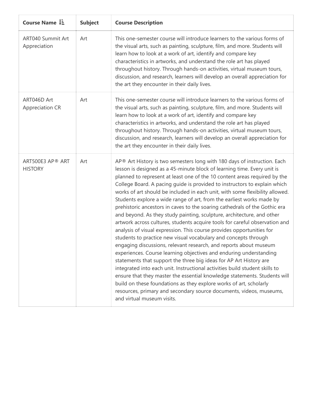|  | Course Name $\downarrow \equiv$       | <b>Subject</b> | <b>Course Description</b>                                                                                                                                                                                                                                                                                                                                                                                                                                                                                                                                                                                                                                                                                                                                                                                                                                                                                                                                                                                                                                                                                                                                                                                                                                                                                                                                                                                         |
|--|---------------------------------------|----------------|-------------------------------------------------------------------------------------------------------------------------------------------------------------------------------------------------------------------------------------------------------------------------------------------------------------------------------------------------------------------------------------------------------------------------------------------------------------------------------------------------------------------------------------------------------------------------------------------------------------------------------------------------------------------------------------------------------------------------------------------------------------------------------------------------------------------------------------------------------------------------------------------------------------------------------------------------------------------------------------------------------------------------------------------------------------------------------------------------------------------------------------------------------------------------------------------------------------------------------------------------------------------------------------------------------------------------------------------------------------------------------------------------------------------|
|  | ART040 Summit Art<br>Appreciation     | Art            | This one-semester course will introduce learners to the various forms of<br>the visual arts, such as painting, sculpture, film, and more. Students will<br>learn how to look at a work of art, identify and compare key<br>characteristics in artworks, and understand the role art has played<br>throughout history. Through hands-on activities, virtual museum tours,<br>discussion, and research, learners will develop an overall appreciation for<br>the art they encounter in their daily lives.                                                                                                                                                                                                                                                                                                                                                                                                                                                                                                                                                                                                                                                                                                                                                                                                                                                                                                           |
|  | ART046D Art<br><b>Appreciation CR</b> | Art            | This one-semester course will introduce learners to the various forms of<br>the visual arts, such as painting, sculpture, film, and more. Students will<br>learn how to look at a work of art, identify and compare key<br>characteristics in artworks, and understand the role art has played<br>throughout history. Through hands-on activities, virtual museum tours,<br>discussion, and research, learners will develop an overall appreciation for<br>the art they encounter in their daily lives.                                                                                                                                                                                                                                                                                                                                                                                                                                                                                                                                                                                                                                                                                                                                                                                                                                                                                                           |
|  | ART500E3 AP® ART<br><b>HISTORY</b>    | Art            | AP® Art History is two semesters long with 180 days of instruction. Each<br>lesson is designed as a 45-minute block of learning time. Every unit is<br>planned to represent at least one of the 10 content areas required by the<br>College Board. A pacing guide is provided to instructors to explain which<br>works of art should be included in each unit, with some flexibility allowed.<br>Students explore a wide range of art, from the earliest works made by<br>prehistoric ancestors in caves to the soaring cathedrals of the Gothic era<br>and beyond. As they study painting, sculpture, architecture, and other<br>artwork across cultures, students acquire tools for careful observation and<br>analysis of visual expression. This course provides opportunities for<br>students to practice new visual vocabulary and concepts through<br>engaging discussions, relevant research, and reports about museum<br>experiences. Course learning objectives and enduring understanding<br>statements that support the three big ideas for AP Art History are<br>integrated into each unit. Instructional activities build student skills to<br>ensure that they master the essential knowledge statements. Students will<br>build on these foundations as they explore works of art, scholarly<br>resources, primary and secondary source documents, videos, museums,<br>and virtual museum visits. |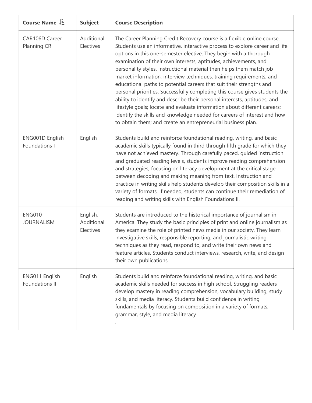| Course Name $\downarrow \exists$        | <b>Subject</b>                      | <b>Course Description</b>                                                                                                                                                                                                                                                                                                                                                                                                                                                                                                                                                                                                                                                                                                                                                                                                                                                                                    |
|-----------------------------------------|-------------------------------------|--------------------------------------------------------------------------------------------------------------------------------------------------------------------------------------------------------------------------------------------------------------------------------------------------------------------------------------------------------------------------------------------------------------------------------------------------------------------------------------------------------------------------------------------------------------------------------------------------------------------------------------------------------------------------------------------------------------------------------------------------------------------------------------------------------------------------------------------------------------------------------------------------------------|
| CAR106D Career<br>Planning CR           | Additional<br>Electives             | The Career Planning Credit Recovery course is a flexible online course.<br>Students use an informative, interactive process to explore career and life<br>options in this one-semester elective. They begin with a thorough<br>examination of their own interests, aptitudes, achievements, and<br>personality styles. Instructional material then helps them match job<br>market information, interview techniques, training requirements, and<br>educational paths to potential careers that suit their strengths and<br>personal priorities. Successfully completing this course gives students the<br>ability to identify and describe their personal interests, aptitudes, and<br>lifestyle goals; locate and evaluate information about different careers;<br>identify the skills and knowledge needed for careers of interest and how<br>to obtain them; and create an entrepreneurial business plan. |
| ENG001D English<br>Foundations I        | English                             | Students build and reinforce foundational reading, writing, and basic<br>academic skills typically found in third through fifth grade for which they<br>have not achieved mastery. Through carefully paced, guided instruction<br>and graduated reading levels, students improve reading comprehension<br>and strategies, focusing on literacy development at the critical stage<br>between decoding and making meaning from text. Instruction and<br>practice in writing skills help students develop their composition skills in a<br>variety of formats. If needed, students can continue their remediation of<br>reading and writing skills with English Foundations II.                                                                                                                                                                                                                                 |
| <b>ENG010</b><br><b>JOURNALISM</b>      | English,<br>Additional<br>Electives | Students are introduced to the historical importance of journalism in<br>America. They study the basic principles of print and online journalism as<br>they examine the role of printed news media in our society. They learn<br>investigative skills, responsible reporting, and journalistic writing<br>techniques as they read, respond to, and write their own news and<br>feature articles. Students conduct interviews, research, write, and design<br>their own publications.                                                                                                                                                                                                                                                                                                                                                                                                                         |
| ENG011 English<br><b>Foundations II</b> | English                             | Students build and reinforce foundational reading, writing, and basic<br>academic skills needed for success in high school. Struggling readers<br>develop mastery in reading comprehension, vocabulary building, study<br>skills, and media literacy. Students build confidence in writing<br>fundamentals by focusing on composition in a variety of formats,<br>grammar, style, and media literacy                                                                                                                                                                                                                                                                                                                                                                                                                                                                                                         |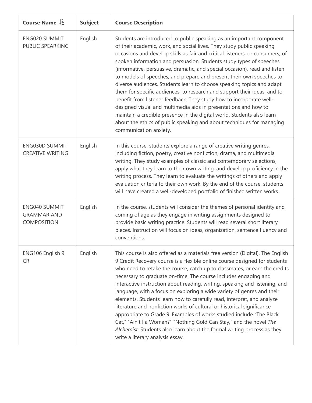| Course Name $\downarrow \exists$                          | <b>Subject</b> | <b>Course Description</b>                                                                                                                                                                                                                                                                                                                                                                                                                                                                                                                                                                                                                                                                                                                                                                                                                                                                                                               |
|-----------------------------------------------------------|----------------|-----------------------------------------------------------------------------------------------------------------------------------------------------------------------------------------------------------------------------------------------------------------------------------------------------------------------------------------------------------------------------------------------------------------------------------------------------------------------------------------------------------------------------------------------------------------------------------------------------------------------------------------------------------------------------------------------------------------------------------------------------------------------------------------------------------------------------------------------------------------------------------------------------------------------------------------|
| ENG020 SUMMIT<br>PUBLIC SPEARKING                         | English        | Students are introduced to public speaking as an important component<br>of their academic, work, and social lives. They study public speaking<br>occasions and develop skills as fair and critical listeners, or consumers, of<br>spoken information and persuasion. Students study types of speeches<br>(informative, persuasive, dramatic, and special occasion), read and listen<br>to models of speeches, and prepare and present their own speeches to<br>diverse audiences. Students learn to choose speaking topics and adapt<br>them for specific audiences, to research and support their ideas, and to<br>benefit from listener feedback. They study how to incorporate well-<br>designed visual and multimedia aids in presentations and how to<br>maintain a credible presence in the digital world. Students also learn<br>about the ethics of public speaking and about techniques for managing<br>communication anxiety. |
| <b>ENG030D SUMMIT</b><br><b>CREATIVE WRITING</b>          | English        | In this course, students explore a range of creative writing genres,<br>including fiction, poetry, creative nonfiction, drama, and multimedia<br>writing. They study examples of classic and contemporary selections,<br>apply what they learn to their own writing, and develop proficiency in the<br>writing process. They learn to evaluate the writings of others and apply<br>evaluation criteria to their own work. By the end of the course, students<br>will have created a well-developed portfolio of finished written works.                                                                                                                                                                                                                                                                                                                                                                                                 |
| ENG040 SUMMIT<br><b>GRAMMAR AND</b><br><b>COMPOSITION</b> | English        | In the course, students will consider the themes of personal identity and<br>coming of age as they engage in writing assignments designed to<br>provide basic writing practice. Students will read several short literary<br>pieces. Instruction will focus on ideas, organization, sentence fluency and<br>conventions.                                                                                                                                                                                                                                                                                                                                                                                                                                                                                                                                                                                                                |
| ENG106 English 9<br><b>CR</b>                             | English        | This course is also offered as a materials free version (Digital). The English<br>9 Credit Recovery course is a flexible online course designed for students<br>who need to retake the course, catch up to classmates, or earn the credits<br>necessary to graduate on-time. The course includes engaging and<br>interactive instruction about reading, writing, speaking and listening, and<br>language, with a focus on exploring a wide variety of genres and their<br>elements. Students learn how to carefully read, interpret, and analyze<br>literature and nonfiction works of cultural or historical significance<br>appropriate to Grade 9. Examples of works studied include "The Black<br>Cat," "Ain't I a Woman?" "Nothing Gold Can Stay," and the novel The<br>Alchemist. Students also learn about the formal writing process as they<br>write a literary analysis essay.                                                |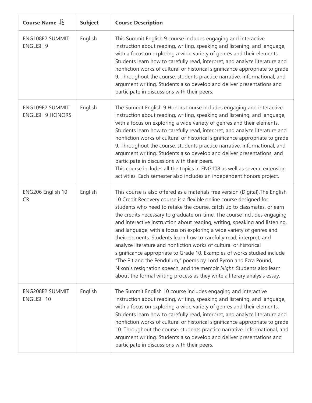| Course Name $\downarrow \equiv$            | <b>Subject</b> | <b>Course Description</b>                                                                                                                                                                                                                                                                                                                                                                                                                                                                                                                                                                                                                                                                                                                                                                                                                                                                                          |
|--------------------------------------------|----------------|--------------------------------------------------------------------------------------------------------------------------------------------------------------------------------------------------------------------------------------------------------------------------------------------------------------------------------------------------------------------------------------------------------------------------------------------------------------------------------------------------------------------------------------------------------------------------------------------------------------------------------------------------------------------------------------------------------------------------------------------------------------------------------------------------------------------------------------------------------------------------------------------------------------------|
| ENG108E2 SUMMIT<br><b>ENGLISH 9</b>        | English        | This Summit English 9 course includes engaging and interactive<br>instruction about reading, writing, speaking and listening, and language,<br>with a focus on exploring a wide variety of genres and their elements.<br>Students learn how to carefully read, interpret, and analyze literature and<br>nonfiction works of cultural or historical significance appropriate to grade<br>9. Throughout the course, students practice narrative, informational, and<br>argument writing. Students also develop and deliver presentations and<br>participate in discussions with their peers.                                                                                                                                                                                                                                                                                                                         |
| ENG109E2 SUMMIT<br><b>ENGLISH 9 HONORS</b> | English        | The Summit English 9 Honors course includes engaging and interactive<br>instruction about reading, writing, speaking and listening, and language,<br>with a focus on exploring a wide variety of genres and their elements.<br>Students learn how to carefully read, interpret, and analyze literature and<br>nonfiction works of cultural or historical significance appropriate to grade<br>9. Throughout the course, students practice narrative, informational, and<br>argument writing. Students also develop and deliver presentations, and<br>participate in discussions with their peers.<br>This course includes all the topics in ENG108 as well as several extension<br>activities. Each semester also includes an independent honors project.                                                                                                                                                          |
| ENG206 English 10<br><b>CR</b>             | English        | This course is also offered as a materials free version (Digital). The English<br>10 Credit Recovery course is a flexible online course designed for<br>students who need to retake the course, catch up to classmates, or earn<br>the credits necessary to graduate on-time. The course includes engaging<br>and interactive instruction about reading, writing, speaking and listening,<br>and language, with a focus on exploring a wide variety of genres and<br>their elements. Students learn how to carefully read, interpret, and<br>analyze literature and nonfiction works of cultural or historical<br>significance appropriate to Grade 10. Examples of works studied include<br>"The Pit and the Pendulum," poems by Lord Byron and Ezra Pound,<br>Nixon's resignation speech, and the memoir Night. Students also learn<br>about the formal writing process as they write a literary analysis essay. |
| ENG208E2 SUMMIT<br><b>ENGLISH 10</b>       | English        | The Summit English 10 course includes engaging and interactive<br>instruction about reading, writing, speaking and listening, and language,<br>with a focus on exploring a wide variety of genres and their elements.<br>Students learn how to carefully read, interpret, and analyze literature and<br>nonfiction works of cultural or historical significance appropriate to grade<br>10. Throughout the course, students practice narrative, informational, and<br>argument writing. Students also develop and deliver presentations and<br>participate in discussions with their peers.                                                                                                                                                                                                                                                                                                                        |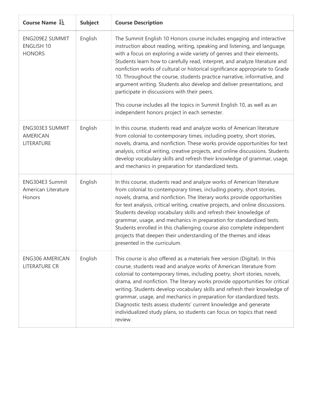| Course Name $\downarrow \frac{1}{2}$                  | <b>Subject</b> | <b>Course Description</b>                                                                                                                                                                                                                                                                                                                                                                                                                                                                                                                                                                                                                                                                                                    |
|-------------------------------------------------------|----------------|------------------------------------------------------------------------------------------------------------------------------------------------------------------------------------------------------------------------------------------------------------------------------------------------------------------------------------------------------------------------------------------------------------------------------------------------------------------------------------------------------------------------------------------------------------------------------------------------------------------------------------------------------------------------------------------------------------------------------|
| ENG209E2 SUMMIT<br><b>ENGLISH 10</b><br><b>HONORS</b> | English        | The Summit English 10 Honors course includes engaging and interactive<br>instruction about reading, writing, speaking and listening, and language,<br>with a focus on exploring a wide variety of genres and their elements.<br>Students learn how to carefully read, interpret, and analyze literature and<br>nonfiction works of cultural or historical significance appropriate to Grade<br>10. Throughout the course, students practice narrative, informative, and<br>argument writing. Students also develop and deliver presentations, and<br>participate in discussions with their peers.<br>This course includes all the topics in Summit English 10, as well as an<br>independent honors project in each semester. |
| ENG303E3 SUMMIT<br><b>AMERICAN</b><br>LITERATURE      | English        | In this course, students read and analyze works of American literature<br>from colonial to contemporary times, including poetry, short stories,<br>novels, drama, and nonfiction. These works provide opportunities for text<br>analysis, critical writing, creative projects, and online discussions. Students<br>develop vocabulary skills and refresh their knowledge of grammar, usage,<br>and mechanics in preparation for standardized tests.                                                                                                                                                                                                                                                                          |
| ENG304E3 Summit<br>American Literature<br>Honors      | English        | In this course, students read and analyze works of American literature<br>from colonial to contemporary times, including poetry, short stories,<br>novels, drama, and nonfiction. The literary works provide opportunities<br>for text analysis, critical writing, creative projects, and online discussions.<br>Students develop vocabulary skills and refresh their knowledge of<br>grammar, usage, and mechanics in preparation for standardized tests.<br>Students enrolled in this challenging course also complete independent<br>projects that deepen their understanding of the themes and ideas<br>presented in the curriculum.                                                                                     |
| <b>ENG306 AMERICAN</b><br><b>LITERATURE CR</b>        | English        | This course is also offered as a materials free version (Digital). In this<br>course, students read and analyze works of American literature from<br>colonial to contemporary times, including poetry, short stories, novels,<br>drama, and nonfiction. The literary works provide opportunities for critical<br>writing. Students develop vocabulary skills and refresh their knowledge of<br>grammar, usage, and mechanics in preparation for standardized tests.<br>Diagnostic tests assess students' current knowledge and generate<br>individualized study plans, so students can focus on topics that need<br>review.                                                                                                  |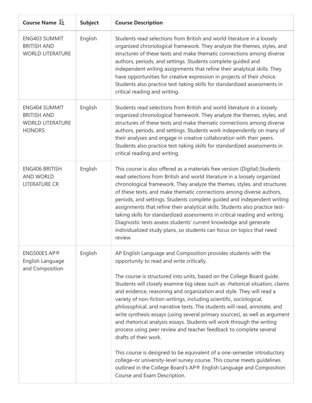| Course Name $\downarrow \frac{1}{2}$                                                   | <b>Subject</b> | <b>Course Description</b>                                                                                                                                                                                                                                                                                                                                                                                                                                                                                                                                                                                                                                                                                                                                                                                                                                                                                                                                                                                                 |
|----------------------------------------------------------------------------------------|----------------|---------------------------------------------------------------------------------------------------------------------------------------------------------------------------------------------------------------------------------------------------------------------------------------------------------------------------------------------------------------------------------------------------------------------------------------------------------------------------------------------------------------------------------------------------------------------------------------------------------------------------------------------------------------------------------------------------------------------------------------------------------------------------------------------------------------------------------------------------------------------------------------------------------------------------------------------------------------------------------------------------------------------------|
| <b>ENG403 SUMMIT</b><br><b>BRITISH AND</b><br><b>WORLD LITERATURE</b>                  | English        | Students read selections from British and world literature in a loosely<br>organized chronological framework. They analyze the themes, styles, and<br>structures of these texts and make thematic connections among diverse<br>authors, periods, and settings. Students complete guided and<br>independent writing assignments that refine their analytical skills. They<br>have opportunities for creative expression in projects of their choice.<br>Students also practice test-taking skills for standardized assessments in<br>critical reading and writing.                                                                                                                                                                                                                                                                                                                                                                                                                                                         |
| <b>ENG404 SUMMIT</b><br><b>BRITISH AND</b><br><b>WORLD LITERATURE</b><br><b>HONORS</b> | English        | Students read selections from British and world literature in a loosely<br>organized chronological framework. They analyze the themes, styles, and<br>structures of these texts and make thematic connections among diverse<br>authors, periods, and settings. Students work independently on many of<br>their analyses and engage in creative collaboration with their peers.<br>Students also practice test-taking skills for standardized assessments in<br>critical reading and writing.                                                                                                                                                                                                                                                                                                                                                                                                                                                                                                                              |
| <b>ENG406 BRITISH</b><br><b>AND WORLD</b><br><b>LITERATURE CR</b>                      | English        | This course is also offered as a materials free version (Digital). Students<br>read selections from British and world literature in a loosely organized<br>chronological framework. They analyze the themes, styles, and structures<br>of these texts, and make thematic connections among diverse authors,<br>periods, and settings. Students complete guided and independent writing<br>assignments that refine their analytical skills. Students also practice test-<br>taking skills for standardized assessments in critical reading and writing.<br>Diagnostic tests assess students' current knowledge and generate<br>individualized study plans, so students can focus on topics that need<br>review.                                                                                                                                                                                                                                                                                                            |
| ENG500E5 AP®<br>English Language<br>and Composition                                    | English        | AP English Language and Composition provides students with the<br>opportunity to read and write critically.<br>The course is structured into units, based on the College Board guide.<br>Students will closely examine big ideas such as: rhetorical situation, claims<br>and evidence, reasoning and organization and style. They will read a<br>variety of non-fiction writings, including scientific, sociological,<br>philosophical, and narrative texts. The students will read, annotate, and<br>write synthesis essays (using several primary sources), as well as argument<br>and rhetorical analysis essays. Students will work through the writing<br>process using peer review and teacher feedback to complete several<br>drafts of their work.<br>This course is designed to be equivalent of a one-semester introductory<br>college-or university-level survey course. This course meets guidelines<br>outlined in the College Board's AP® English Language and Composition<br>Course and Exam Description. |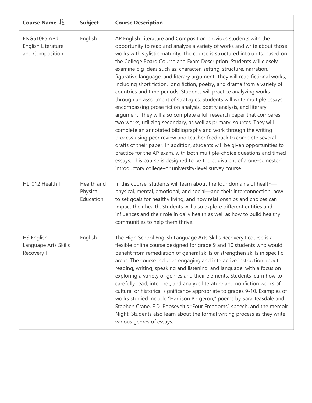| Course Name I.                                          | <b>Subject</b>                      | <b>Course Description</b>                                                                                                                                                                                                                                                                                                                                                                                                                                                                                                                                                                                                                                                                                                                                                                                                                                                                                                                                                                                                                                                                                                                                                                                                                                                                                                                                    |
|---------------------------------------------------------|-------------------------------------|--------------------------------------------------------------------------------------------------------------------------------------------------------------------------------------------------------------------------------------------------------------------------------------------------------------------------------------------------------------------------------------------------------------------------------------------------------------------------------------------------------------------------------------------------------------------------------------------------------------------------------------------------------------------------------------------------------------------------------------------------------------------------------------------------------------------------------------------------------------------------------------------------------------------------------------------------------------------------------------------------------------------------------------------------------------------------------------------------------------------------------------------------------------------------------------------------------------------------------------------------------------------------------------------------------------------------------------------------------------|
| ENG510E5 AP®<br>English Literature<br>and Composition   | English                             | AP English Literature and Composition provides students with the<br>opportunity to read and analyze a variety of works and write about those<br>works with stylistic maturity. The course is structured into units, based on<br>the College Board Course and Exam Description. Students will closely<br>examine big ideas such as: character, setting, structure, narration,<br>figurative language, and literary argument. They will read fictional works,<br>including short fiction, long fiction, poetry, and drama from a variety of<br>countries and time periods. Students will practice analyzing works<br>through an assortment of strategies. Students will write multiple essays<br>encompassing prose fiction analysis, poetry analysis, and literary<br>argument. They will also complete a full research paper that compares<br>two works, utilizing secondary, as well as primary, sources. They will<br>complete an annotated bibliography and work through the writing<br>process using peer review and teacher feedback to complete several<br>drafts of their paper. In addition, students will be given opportunities to<br>practice for the AP exam, with both multiple-choice questions and timed<br>essays. This course is designed to be the equivalent of a one-semester<br>introductory college-or university-level survey course. |
| HLT012 Health I                                         | Health and<br>Physical<br>Education | In this course, students will learn about the four domains of health-<br>physical, mental, emotional, and social-and their interconnection, how<br>to set goals for healthy living, and how relationships and choices can<br>impact their health. Students will also explore different entities and<br>influences and their role in daily health as well as how to build healthy<br>communities to help them thrive.                                                                                                                                                                                                                                                                                                                                                                                                                                                                                                                                                                                                                                                                                                                                                                                                                                                                                                                                         |
| <b>HS English</b><br>Language Arts Skills<br>Recovery I | English                             | The High School English Language Arts Skills Recovery I course is a<br>flexible online course designed for grade 9 and 10 students who would<br>benefit from remediation of general skills or strengthen skills in specific<br>areas. The course includes engaging and interactive instruction about<br>reading, writing, speaking and listening, and language, with a focus on<br>exploring a variety of genres and their elements. Students learn how to<br>carefully read, interpret, and analyze literature and nonfiction works of<br>cultural or historical significance appropriate to grades 9-10. Examples of<br>works studied include "Harrison Bergeron," poems by Sara Teasdale and<br>Stephen Crane, F.D. Roosevelt's "Four Freedoms" speech, and the memoir<br>Night. Students also learn about the formal writing process as they write<br>various genres of essays.                                                                                                                                                                                                                                                                                                                                                                                                                                                                          |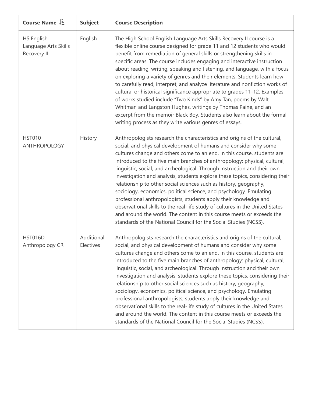| Course Name $\downarrow \frac{1}{2}$              | <b>Subject</b>          | <b>Course Description</b>                                                                                                                                                                                                                                                                                                                                                                                                                                                                                                                                                                                                                                                                                                                                                                                                                                                                                     |
|---------------------------------------------------|-------------------------|---------------------------------------------------------------------------------------------------------------------------------------------------------------------------------------------------------------------------------------------------------------------------------------------------------------------------------------------------------------------------------------------------------------------------------------------------------------------------------------------------------------------------------------------------------------------------------------------------------------------------------------------------------------------------------------------------------------------------------------------------------------------------------------------------------------------------------------------------------------------------------------------------------------|
| HS English<br>Language Arts Skills<br>Recovery II | English                 | The High School English Language Arts Skills Recovery II course is a<br>flexible online course designed for grade 11 and 12 students who would<br>benefit from remediation of general skills or strengthening skills in<br>specific areas. The course includes engaging and interactive instruction<br>about reading, writing, speaking and listening, and language, with a focus<br>on exploring a variety of genres and their elements. Students learn how<br>to carefully read, interpret, and analyze literature and nonfiction works of<br>cultural or historical significance appropriate to grades 11-12. Examples<br>of works studied include "Two Kinds" by Amy Tan, poems by Walt<br>Whitman and Langston Hughes, writings by Thomas Paine, and an<br>excerpt from the memoir Black Boy. Students also learn about the formal<br>writing process as they write various genres of essays.            |
| <b>HST010</b><br>ANTHROPOLOGY                     | History                 | Anthropologists research the characteristics and origins of the cultural,<br>social, and physical development of humans and consider why some<br>cultures change and others come to an end. In this course, students are<br>introduced to the five main branches of anthropology: physical, cultural,<br>linguistic, social, and archeological. Through instruction and their own<br>investigation and analysis, students explore these topics, considering their<br>relationship to other social sciences such as history, geography,<br>sociology, economics, political science, and psychology. Emulating<br>professional anthropologists, students apply their knowledge and<br>observational skills to the real-life study of cultures in the United States<br>and around the world. The content in this course meets or exceeds the<br>standards of the National Council for the Social Studies (NCSS). |
| <b>HST016D</b><br>Anthropology CR                 | Additional<br>Electives | Anthropologists research the characteristics and origins of the cultural,<br>social, and physical development of humans and consider why some<br>cultures change and others come to an end. In this course, students are<br>introduced to the five main branches of anthropology: physical, cultural,<br>linguistic, social, and archeological. Through instruction and their own<br>investigation and analysis, students explore these topics, considering their<br>relationship to other social sciences such as history, geography,<br>sociology, economics, political science, and psychology. Emulating<br>professional anthropologists, students apply their knowledge and<br>observational skills to the real-life study of cultures in the United States<br>and around the world. The content in this course meets or exceeds the<br>standards of the National Council for the Social Studies (NCSS). |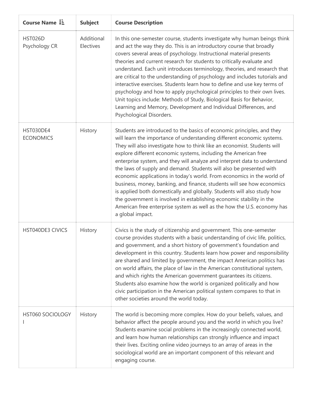| Course Name $1\overline{2}$     | <b>Subject</b>          | <b>Course Description</b>                                                                                                                                                                                                                                                                                                                                                                                                                                                                                                                                                                                                                                                                                                                                                                                                                                 |
|---------------------------------|-------------------------|-----------------------------------------------------------------------------------------------------------------------------------------------------------------------------------------------------------------------------------------------------------------------------------------------------------------------------------------------------------------------------------------------------------------------------------------------------------------------------------------------------------------------------------------------------------------------------------------------------------------------------------------------------------------------------------------------------------------------------------------------------------------------------------------------------------------------------------------------------------|
| <b>HST026D</b><br>Psychology CR | Additional<br>Electives | In this one-semester course, students investigate why human beings think<br>and act the way they do. This is an introductory course that broadly<br>covers several areas of psychology. Instructional material presents<br>theories and current research for students to critically evaluate and<br>understand. Each unit introduces terminology, theories, and research that<br>are critical to the understanding of psychology and includes tutorials and<br>interactive exercises. Students learn how to define and use key terms of<br>psychology and how to apply psychological principles to their own lives.<br>Unit topics include: Methods of Study, Biological Basis for Behavior,<br>Learning and Memory, Development and Individual Differences, and<br>Psychological Disorders.                                                              |
| HST030DE4<br><b>ECONOMICS</b>   | History                 | Students are introduced to the basics of economic principles, and they<br>will learn the importance of understanding different economic systems.<br>They will also investigate how to think like an economist. Students will<br>explore different economic systems, including the American free<br>enterprise system, and they will analyze and interpret data to understand<br>the laws of supply and demand. Students will also be presented with<br>economic applications in today's world. From economics in the world of<br>business, money, banking, and finance, students will see how economics<br>is applied both domestically and globally. Students will also study how<br>the government is involved in establishing economic stability in the<br>American free enterprise system as well as the how the U.S. economy has<br>a global impact. |
| <b>HST040DE3 CIVICS</b>         | History                 | Civics is the study of citizenship and government. This one-semester<br>course provides students with a basic understanding of civic life, politics,<br>and government, and a short history of government's foundation and<br>development in this country. Students learn how power and responsibility<br>are shared and limited by government, the impact American politics has<br>on world affairs, the place of law in the American constitutional system,<br>and which rights the American government guarantees its citizens.<br>Students also examine how the world is organized politically and how<br>civic participation in the American political system compares to that in<br>other societies around the world today.                                                                                                                         |
| HST060 SOCIOLOGY                | History                 | The world is becoming more complex. How do your beliefs, values, and<br>behavior affect the people around you and the world in which you live?<br>Students examine social problems in the increasingly connected world,<br>and learn how human relationships can strongly influence and impact<br>their lives. Exciting online video journeys to an array of areas in the<br>sociological world are an important component of this relevant and<br>engaging course.                                                                                                                                                                                                                                                                                                                                                                                       |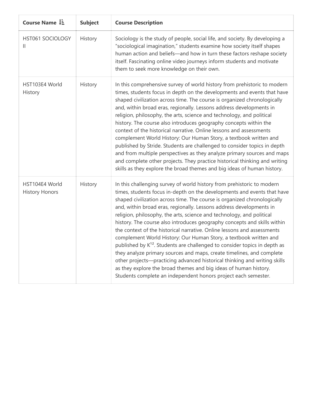| Course Name $1\frac{1}{2}$              | <b>Subject</b> | <b>Course Description</b>                                                                                                                                                                                                                                                                                                                                                                                                                                                                                                                                                                                                                                                                                                                                                                                                                                                                                                                                                                      |
|-----------------------------------------|----------------|------------------------------------------------------------------------------------------------------------------------------------------------------------------------------------------------------------------------------------------------------------------------------------------------------------------------------------------------------------------------------------------------------------------------------------------------------------------------------------------------------------------------------------------------------------------------------------------------------------------------------------------------------------------------------------------------------------------------------------------------------------------------------------------------------------------------------------------------------------------------------------------------------------------------------------------------------------------------------------------------|
| HST061 SOCIOLOGY<br>$\mathbf{H}$        | History        | Sociology is the study of people, social life, and society. By developing a<br>"sociological imagination," students examine how society itself shapes<br>human action and beliefs-and how in turn these factors reshape society<br>itself. Fascinating online video journeys inform students and motivate<br>them to seek more knowledge on their own.                                                                                                                                                                                                                                                                                                                                                                                                                                                                                                                                                                                                                                         |
| HST103E4 World<br>History               | History        | In this comprehensive survey of world history from prehistoric to modern<br>times, students focus in depth on the developments and events that have<br>shaped civilization across time. The course is organized chronologically<br>and, within broad eras, regionally. Lessons address developments in<br>religion, philosophy, the arts, science and technology, and political<br>history. The course also introduces geography concepts within the<br>context of the historical narrative. Online lessons and assessments<br>complement World History: Our Human Story, a textbook written and<br>published by Stride. Students are challenged to consider topics in depth<br>and from multiple perspectives as they analyze primary sources and maps<br>and complete other projects. They practice historical thinking and writing<br>skills as they explore the broad themes and big ideas of human history.                                                                               |
| HST104E4 World<br><b>History Honors</b> | History        | In this challenging survey of world history from prehistoric to modern<br>times, students focus in-depth on the developments and events that have<br>shaped civilization across time. The course is organized chronologically<br>and, within broad eras, regionally. Lessons address developments in<br>religion, philosophy, the arts, science and technology, and political<br>history. The course also introduces geography concepts and skills within<br>the context of the historical narrative. Online lessons and assessments<br>complement World History: Our Human Story, a textbook written and<br>published by K <sup>12</sup> . Students are challenged to consider topics in depth as<br>they analyze primary sources and maps, create timelines, and complete<br>other projects-practicing advanced historical thinking and writing skills<br>as they explore the broad themes and big ideas of human history.<br>Students complete an independent honors project each semester. |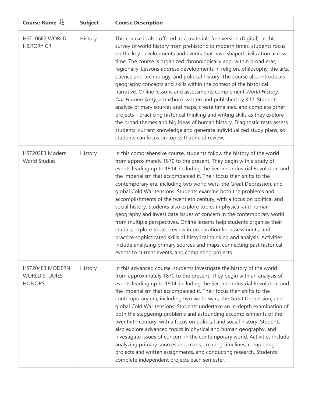| Course Name L=                                           | <b>Subject</b> | <b>Course Description</b>                                                                                                                                                                                                                                                                                                                                                                                                                                                                                                                                                                                                                                                                                                                                                                                                                                                                                                                                                                                                                                  |
|----------------------------------------------------------|----------------|------------------------------------------------------------------------------------------------------------------------------------------------------------------------------------------------------------------------------------------------------------------------------------------------------------------------------------------------------------------------------------------------------------------------------------------------------------------------------------------------------------------------------------------------------------------------------------------------------------------------------------------------------------------------------------------------------------------------------------------------------------------------------------------------------------------------------------------------------------------------------------------------------------------------------------------------------------------------------------------------------------------------------------------------------------|
| HST106E2 WORLD<br><b>HISTORY CR</b>                      | History        | This course is also offered as a materials free version (Digital). In this<br>survey of world history from prehistoric to modern times, students focus<br>on the key developments and events that have shaped civilization across<br>time. The course is organized chronologically and, within broad eras,<br>regionally. Lessons address developments in religion, philosophy, the arts,<br>science and technology, and political history. The course also introduces<br>geography concepts and skills within the context of the historical<br>narrative. Online lessons and assessments complement World History:<br>Our Human Story, a textbook written and published by K12. Students<br>analyze primary sources and maps, create timelines, and complete other<br>projects—practicing historical thinking and writing skills as they explore<br>the broad themes and big ideas of human history. Diagnostic tests assess<br>students' current knowledge and generate individualized study plans, so<br>students can focus on topics that need review. |
| HST203E3 Modern<br><b>World Studies</b>                  | History        | In this comprehensive course, students follow the history of the world<br>from approximately 1870 to the present. They begin with a study of<br>events leading up to 1914, including the Second Industrial Revolution and<br>the imperialism that accompanied it. Their focus then shifts to the<br>contemporary era, including two world wars, the Great Depression, and<br>global Cold War tensions. Students examine both the problems and<br>accomplishments of the twentieth century, with a focus on political and<br>social history. Students also explore topics in physical and human<br>geography and investigate issues of concern in the contemporary world<br>from multiple perspectives. Online lessons help students organize their<br>studies, explore topics, review in preparation for assessments, and<br>practice sophisticated skills of historical thinking and analysis. Activities<br>include analyzing primary sources and maps, connecting past historical<br>events to current events, and completing projects.                 |
| HST204E3 MODERN<br><b>WORLD STUDIES</b><br><b>HONORS</b> | History        | In this advanced course, students investigate the history of the world<br>from approximately 1870 to the present. They begin with an analysis of<br>events leading up to 1914, including the Second Industrial Revolution and<br>the imperialism that accompanied it. Their focus then shifts to the<br>contemporary era, including two world wars, the Great Depression, and<br>global Cold War tensions. Students undertake an in-depth examination of<br>both the staggering problems and astounding accomplishments of the<br>twentieth century, with a focus on political and social history. Students<br>also explore advanced topics in physical and human geography, and<br>investigate issues of concern in the contemporary world. Activities include<br>analyzing primary sources and maps, creating timelines, completing<br>projects and written assignments, and conducting research. Students<br>complete independent projects each semester.                                                                                               |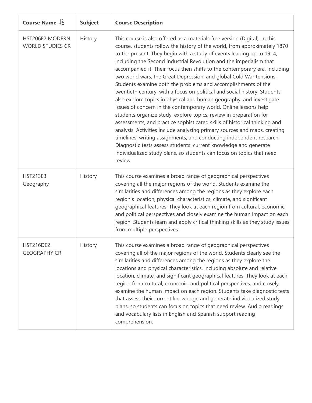| Course Name LE                             | <b>Subject</b> | <b>Course Description</b>                                                                                                                                                                                                                                                                                                                                                                                                                                                                                                                                                                                                                                                                                                                                                                                                                                                                                                                                                                                                                                                                                                                                                                                              |
|--------------------------------------------|----------------|------------------------------------------------------------------------------------------------------------------------------------------------------------------------------------------------------------------------------------------------------------------------------------------------------------------------------------------------------------------------------------------------------------------------------------------------------------------------------------------------------------------------------------------------------------------------------------------------------------------------------------------------------------------------------------------------------------------------------------------------------------------------------------------------------------------------------------------------------------------------------------------------------------------------------------------------------------------------------------------------------------------------------------------------------------------------------------------------------------------------------------------------------------------------------------------------------------------------|
| HST206E2 MODERN<br><b>WORLD STUDIES CR</b> | History        | This course is also offered as a materials free version (Digital). In this<br>course, students follow the history of the world, from approximately 1870<br>to the present. They begin with a study of events leading up to 1914,<br>including the Second Industrial Revolution and the imperialism that<br>accompanied it. Their focus then shifts to the contemporary era, including<br>two world wars, the Great Depression, and global Cold War tensions.<br>Students examine both the problems and accomplishments of the<br>twentieth century, with a focus on political and social history. Students<br>also explore topics in physical and human geography, and investigate<br>issues of concern in the contemporary world. Online lessons help<br>students organize study, explore topics, review in preparation for<br>assessments, and practice sophisticated skills of historical thinking and<br>analysis. Activities include analyzing primary sources and maps, creating<br>timelines, writing assignments, and conducting independent research.<br>Diagnostic tests assess students' current knowledge and generate<br>individualized study plans, so students can focus on topics that need<br>review. |
| <b>HST213E3</b><br>Geography               | History        | This course examines a broad range of geographical perspectives<br>covering all the major regions of the world. Students examine the<br>similarities and differences among the regions as they explore each<br>region's location, physical characteristics, climate, and significant<br>geographical features. They look at each region from cultural, economic,<br>and political perspectives and closely examine the human impact on each<br>region. Students learn and apply critical thinking skills as they study issues<br>from multiple perspectives.                                                                                                                                                                                                                                                                                                                                                                                                                                                                                                                                                                                                                                                           |
| <b>HST216DE2</b><br><b>GEOGRAPHY CR</b>    | History        | This course examines a broad range of geographical perspectives<br>covering all of the major regions of the world. Students clearly see the<br>similarities and differences among the regions as they explore the<br>locations and physical characteristics, including absolute and relative<br>location, climate, and significant geographical features. They look at each<br>region from cultural, economic, and political perspectives, and closely<br>examine the human impact on each region. Students take diagnostic tests<br>that assess their current knowledge and generate individualized study<br>plans, so students can focus on topics that need review. Audio readings<br>and vocabulary lists in English and Spanish support reading<br>comprehension.                                                                                                                                                                                                                                                                                                                                                                                                                                                 |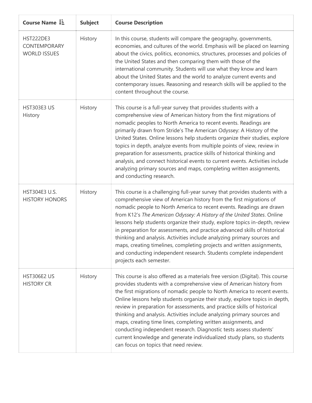| Course Name $\downarrow \frac{1}{2}$                    | <b>Subject</b> | <b>Course Description</b>                                                                                                                                                                                                                                                                                                                                                                                                                                                                                                                                                                                                                                                                                                            |
|---------------------------------------------------------|----------------|--------------------------------------------------------------------------------------------------------------------------------------------------------------------------------------------------------------------------------------------------------------------------------------------------------------------------------------------------------------------------------------------------------------------------------------------------------------------------------------------------------------------------------------------------------------------------------------------------------------------------------------------------------------------------------------------------------------------------------------|
| <b>HST222DE3</b><br>CONTEMPORARY<br><b>WORLD ISSUES</b> | History        | In this course, students will compare the geography, governments,<br>economies, and cultures of the world. Emphasis will be placed on learning<br>about the civics, politics, economics, structures, processes and policies of<br>the United States and then comparing them with those of the<br>international community. Students will use what they know and learn<br>about the United States and the world to analyze current events and<br>contemporary issues. Reasoning and research skills will be applied to the<br>content throughout the course.                                                                                                                                                                           |
| <b>HST303E3 US</b><br>History                           | History        | This course is a full-year survey that provides students with a<br>comprehensive view of American history from the first migrations of<br>nomadic peoples to North America to recent events. Readings are<br>primarily drawn from Stride's The American Odyssey: A History of the<br>United States. Online lessons help students organize their studies, explore<br>topics in depth, analyze events from multiple points of view, review in<br>preparation for assessments, practice skills of historical thinking and<br>analysis, and connect historical events to current events. Activities include<br>analyzing primary sources and maps, completing written assignments,<br>and conducting research.                           |
| HST304E3 U.S.<br><b>HISTORY HONORS</b>                  | History        | This course is a challenging full-year survey that provides students with a<br>comprehensive view of American history from the first migrations of<br>nomadic people to North America to recent events. Readings are drawn<br>from K12's The American Odyssey: A History of the United States. Online<br>lessons help students organize their study, explore topics in-depth, review<br>in preparation for assessments, and practice advanced skills of historical<br>thinking and analysis. Activities include analyzing primary sources and<br>maps, creating timelines, completing projects and written assignments,<br>and conducting independent research. Students complete independent<br>projects each semester.             |
| <b>HST306E2 US</b><br><b>HISTORY CR</b>                 | History        | This course is also offered as a materials free version (Digital). This course<br>provides students with a comprehensive view of American history from<br>the first migrations of nomadic people to North America to recent events.<br>Online lessons help students organize their study, explore topics in depth,<br>review in preparation for assessments, and practice skills of historical<br>thinking and analysis. Activities include analyzing primary sources and<br>maps, creating time lines, completing written assignments, and<br>conducting independent research. Diagnostic tests assess students'<br>current knowledge and generate individualized study plans, so students<br>can focus on topics that need review. |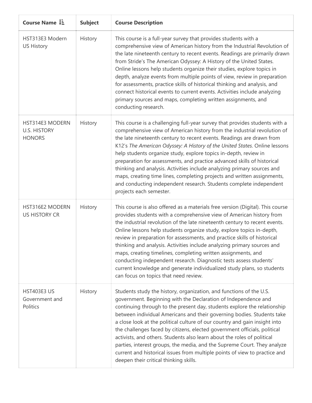| Course Name L=                                          | <b>Subject</b> | <b>Course Description</b>                                                                                                                                                                                                                                                                                                                                                                                                                                                                                                                                                                                                                                                                                                             |
|---------------------------------------------------------|----------------|---------------------------------------------------------------------------------------------------------------------------------------------------------------------------------------------------------------------------------------------------------------------------------------------------------------------------------------------------------------------------------------------------------------------------------------------------------------------------------------------------------------------------------------------------------------------------------------------------------------------------------------------------------------------------------------------------------------------------------------|
| HST313E3 Modern<br><b>US History</b>                    | History        | This course is a full-year survey that provides students with a<br>comprehensive view of American history from the Industrial Revolution of<br>the late nineteenth century to recent events. Readings are primarily drawn<br>from Stride's The American Odyssey: A History of the United States.<br>Online lessons help students organize their studies, explore topics in<br>depth, analyze events from multiple points of view, review in preparation<br>for assessments, practice skills of historical thinking and analysis, and<br>connect historical events to current events. Activities include analyzing<br>primary sources and maps, completing written assignments, and<br>conducting research.                            |
| HST314E3 MODERN<br><b>U.S. HISTORY</b><br><b>HONORS</b> | History        | This course is a challenging full-year survey that provides students with a<br>comprehensive view of American history from the industrial revolution of<br>the late nineteenth century to recent events. Readings are drawn from<br>K12's The American Odyssey: A History of the United States. Online lessons<br>help students organize study, explore topics in-depth, review in<br>preparation for assessments, and practice advanced skills of historical<br>thinking and analysis. Activities include analyzing primary sources and<br>maps, creating time lines, completing projects and written assignments,<br>and conducting independent research. Students complete independent<br>projects each semester.                  |
| HST316E2 MODERN<br><b>US HISTORY CR</b>                 | History        | This course is also offered as a materials free version (Digital). This course<br>provides students with a comprehensive view of American history from<br>the industrial revolution of the late nineteenth century to recent events.<br>Online lessons help students organize study, explore topics in-depth,<br>review in preparation for assessments, and practice skills of historical<br>thinking and analysis. Activities include analyzing primary sources and<br>maps, creating timelines, completing written assignments, and<br>conducting independent research. Diagnostic tests assess students'<br>current knowledge and generate individualized study plans, so students<br>can focus on topics that need review.        |
| <b>HST403E3 US</b><br>Government and<br>Politics        | History        | Students study the history, organization, and functions of the U.S.<br>government. Beginning with the Declaration of Independence and<br>continuing through to the present day, students explore the relationship<br>between individual Americans and their governing bodies. Students take<br>a close look at the political culture of our country and gain insight into<br>the challenges faced by citizens, elected government officials, political<br>activists, and others. Students also learn about the roles of political<br>parties, interest groups, the media, and the Supreme Court. They analyze<br>current and historical issues from multiple points of view to practice and<br>deepen their critical thinking skills. |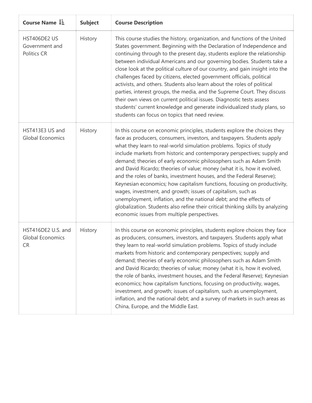| Course Name LE                                      | <b>Subject</b> | <b>Course Description</b>                                                                                                                                                                                                                                                                                                                                                                                                                                                                                                                                                                                                                                                                                                                                                                                                                                                         |
|-----------------------------------------------------|----------------|-----------------------------------------------------------------------------------------------------------------------------------------------------------------------------------------------------------------------------------------------------------------------------------------------------------------------------------------------------------------------------------------------------------------------------------------------------------------------------------------------------------------------------------------------------------------------------------------------------------------------------------------------------------------------------------------------------------------------------------------------------------------------------------------------------------------------------------------------------------------------------------|
| HST406DE2 US<br>Government and<br>Politics CR       | History        | This course studies the history, organization, and functions of the United<br>States government. Beginning with the Declaration of Independence and<br>continuing through to the present day, students explore the relationship<br>between individual Americans and our governing bodies. Students take a<br>close look at the political culture of our country, and gain insight into the<br>challenges faced by citizens, elected government officials, political<br>activists, and others. Students also learn about the roles of political<br>parties, interest groups, the media, and the Supreme Court. They discuss<br>their own views on current political issues. Diagnostic tests assess<br>students' current knowledge and generate individualized study plans, so<br>students can focus on topics that need review.                                                   |
| HST413E3 US and<br><b>Global Economics</b>          | History        | In this course on economic principles, students explore the choices they<br>face as producers, consumers, investors, and taxpayers. Students apply<br>what they learn to real-world simulation problems. Topics of study<br>include markets from historic and contemporary perspectives; supply and<br>demand; theories of early economic philosophers such as Adam Smith<br>and David Ricardo; theories of value; money (what it is, how it evolved,<br>and the roles of banks, investment houses, and the Federal Reserve);<br>Keynesian economics; how capitalism functions, focusing on productivity,<br>wages, investment, and growth; issues of capitalism, such as<br>unemployment, inflation, and the national debt; and the effects of<br>globalization. Students also refine their critical thinking skills by analyzing<br>economic issues from multiple perspectives. |
| HST416DE2 U.S. and<br><b>Global Economics</b><br>CR | History        | In this course on economic principles, students explore choices they face<br>as producers, consumers, investors, and taxpayers. Students apply what<br>they learn to real-world simulation problems. Topics of study include<br>markets from historic and contemporary perspectives; supply and<br>demand; theories of early economic philosophers such as Adam Smith<br>and David Ricardo; theories of value; money (what it is, how it evolved,<br>the role of banks, investment houses, and the Federal Reserve); Keynesian<br>economics; how capitalism functions, focusing on productivity, wages,<br>investment, and growth; issues of capitalism, such as unemployment,<br>inflation, and the national debt; and a survey of markets in such areas as<br>China, Europe, and the Middle East.                                                                               |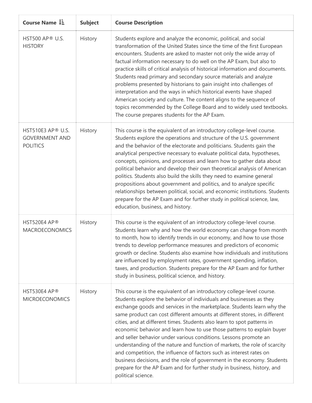| Course Name $1\overline{2}$                                          | <b>Subject</b> | <b>Course Description</b>                                                                                                                                                                                                                                                                                                                                                                                                                                                                                                                                                                                                                                                                                                                                                                                                                                     |
|----------------------------------------------------------------------|----------------|---------------------------------------------------------------------------------------------------------------------------------------------------------------------------------------------------------------------------------------------------------------------------------------------------------------------------------------------------------------------------------------------------------------------------------------------------------------------------------------------------------------------------------------------------------------------------------------------------------------------------------------------------------------------------------------------------------------------------------------------------------------------------------------------------------------------------------------------------------------|
| <b>HST500 AP® U.S.</b><br><b>HISTORY</b>                             | History        | Students explore and analyze the economic, political, and social<br>transformation of the United States since the time of the first European<br>encounters. Students are asked to master not only the wide array of<br>factual information necessary to do well on the AP Exam, but also to<br>practice skills of critical analysis of historical information and documents.<br>Students read primary and secondary source materials and analyze<br>problems presented by historians to gain insight into challenges of<br>interpretation and the ways in which historical events have shaped<br>American society and culture. The content aligns to the sequence of<br>topics recommended by the College Board and to widely used textbooks.<br>The course prepares students for the AP Exam.                                                                |
| <b>HST510E3 AP® U.S.</b><br><b>GOVERNMENT AND</b><br><b>POLITICS</b> | History        | This course is the equivalent of an introductory college-level course.<br>Students explore the operations and structure of the U.S. government<br>and the behavior of the electorate and politicians. Students gain the<br>analytical perspective necessary to evaluate political data, hypotheses,<br>concepts, opinions, and processes and learn how to gather data about<br>political behavior and develop their own theoretical analysis of American<br>politics. Students also build the skills they need to examine general<br>propositions about government and politics, and to analyze specific<br>relationships between political, social, and economic institutions. Students<br>prepare for the AP Exam and for further study in political science, law,<br>education, business, and history.                                                     |
| HST520E4 AP®<br><b>MACROECONOMICS</b>                                | History        | This course is the equivalent of an introductory college-level course.<br>Students learn why and how the world economy can change from month<br>to month, how to identify trends in our economy, and how to use those<br>trends to develop performance measures and predictors of economic<br>growth or decline. Students also examine how individuals and institutions<br>are influenced by employment rates, government spending, inflation,<br>taxes, and production. Students prepare for the AP Exam and for further<br>study in business, political science, and history.                                                                                                                                                                                                                                                                               |
| HST530E4 AP®<br><b>MICROECONOMICS</b>                                | History        | This course is the equivalent of an introductory college-level course.<br>Students explore the behavior of individuals and businesses as they<br>exchange goods and services in the marketplace. Students learn why the<br>same product can cost different amounts at different stores, in different<br>cities, and at different times. Students also learn to spot patterns in<br>economic behavior and learn how to use those patterns to explain buyer<br>and seller behavior under various conditions. Lessons promote an<br>understanding of the nature and function of markets, the role of scarcity<br>and competition, the influence of factors such as interest rates on<br>business decisions, and the role of government in the economy. Students<br>prepare for the AP Exam and for further study in business, history, and<br>political science. |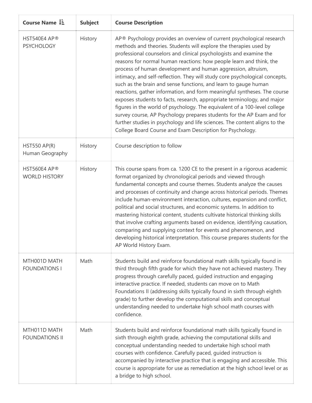| Course Name $1\overline{2}$            | <b>Subject</b> | <b>Course Description</b>                                                                                                                                                                                                                                                                                                                                                                                                                                                                                                                                                                                                                                                                                                                                                                                                                                                                                                                                          |
|----------------------------------------|----------------|--------------------------------------------------------------------------------------------------------------------------------------------------------------------------------------------------------------------------------------------------------------------------------------------------------------------------------------------------------------------------------------------------------------------------------------------------------------------------------------------------------------------------------------------------------------------------------------------------------------------------------------------------------------------------------------------------------------------------------------------------------------------------------------------------------------------------------------------------------------------------------------------------------------------------------------------------------------------|
| HST540E4 AP®<br><b>PSYCHOLOGY</b>      | History        | AP® Psychology provides an overview of current psychological research<br>methods and theories. Students will explore the therapies used by<br>professional counselors and clinical psychologists and examine the<br>reasons for normal human reactions: how people learn and think, the<br>process of human development and human aggression, altruism,<br>intimacy, and self-reflection. They will study core psychological concepts,<br>such as the brain and sense functions, and learn to gauge human<br>reactions, gather information, and form meaningful syntheses. The course<br>exposes students to facts, research, appropriate terminology, and major<br>figures in the world of psychology. The equivalent of a 100-level college<br>survey course, AP Psychology prepares students for the AP Exam and for<br>further studies in psychology and life sciences. The content aligns to the<br>College Board Course and Exam Description for Psychology. |
| <b>HST550 AP(R)</b><br>Human Geography | History        | Course description to follow                                                                                                                                                                                                                                                                                                                                                                                                                                                                                                                                                                                                                                                                                                                                                                                                                                                                                                                                       |
| HST560E4 AP®<br><b>WORLD HISTORY</b>   | History        | This course spans from ca. 1200 CE to the present in a rigorous academic<br>format organized by chronological periods and viewed through<br>fundamental concepts and course themes. Students analyze the causes<br>and processes of continuity and change across historical periods. Themes<br>include human-environment interaction, cultures, expansion and conflict,<br>political and social structures, and economic systems. In addition to<br>mastering historical content, students cultivate historical thinking skills<br>that involve crafting arguments based on evidence, identifying causation,<br>comparing and supplying context for events and phenomenon, and<br>developing historical interpretation. This course prepares students for the<br>AP World History Exam.                                                                                                                                                                            |
| MTH001D MATH<br><b>FOUNDATIONS I</b>   | Math           | Students build and reinforce foundational math skills typically found in<br>third through fifth grade for which they have not achieved mastery. They<br>progress through carefully paced, guided instruction and engaging<br>interactive practice. If needed, students can move on to Math<br>Foundations II (addressing skills typically found in sixth through eighth<br>grade) to further develop the computational skills and conceptual<br>understanding needed to undertake high school math courses with<br>confidence.                                                                                                                                                                                                                                                                                                                                                                                                                                     |
| MTH011D MATH<br><b>FOUNDATIONS II</b>  | Math           | Students build and reinforce foundational math skills typically found in<br>sixth through eighth grade, achieving the computational skills and<br>conceptual understanding needed to undertake high school math<br>courses with confidence. Carefully paced, guided instruction is<br>accompanied by interactive practice that is engaging and accessible. This<br>course is appropriate for use as remediation at the high school level or as<br>a bridge to high school.                                                                                                                                                                                                                                                                                                                                                                                                                                                                                         |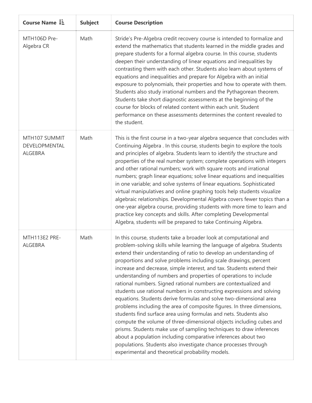| Course Name L=                                   | <b>Subject</b> | <b>Course Description</b>                                                                                                                                                                                                                                                                                                                                                                                                                                                                                                                                                                                                                                                                                                                                                                                                                                                                                                                                                                                                                                                                                                                    |
|--------------------------------------------------|----------------|----------------------------------------------------------------------------------------------------------------------------------------------------------------------------------------------------------------------------------------------------------------------------------------------------------------------------------------------------------------------------------------------------------------------------------------------------------------------------------------------------------------------------------------------------------------------------------------------------------------------------------------------------------------------------------------------------------------------------------------------------------------------------------------------------------------------------------------------------------------------------------------------------------------------------------------------------------------------------------------------------------------------------------------------------------------------------------------------------------------------------------------------|
| MTH106D Pre-<br>Algebra CR                       | Math           | Stride's Pre-Algebra credit recovery course is intended to formalize and<br>extend the mathematics that students learned in the middle grades and<br>prepare students for a formal algebra course. In this course, students<br>deepen their understanding of linear equations and inequalities by<br>contrasting them with each other. Students also learn about systems of<br>equations and inequalities and prepare for Algebra with an initial<br>exposure to polynomials, their properties and how to operate with them.<br>Students also study irrational numbers and the Pythagorean theorem.<br>Students take short diagnostic assessments at the beginning of the<br>course for blocks of related content within each unit. Student<br>performance on these assessments determines the content revealed to<br>the student.                                                                                                                                                                                                                                                                                                           |
| MTH107 SUMMIT<br>DEVELOPMENTAL<br><b>ALGEBRA</b> | Math           | This is the first course in a two-year algebra sequence that concludes with<br>Continuing Algebra . In this course, students begin to explore the tools<br>and principles of algebra. Students learn to identify the structure and<br>properties of the real number system; complete operations with integers<br>and other rational numbers; work with square roots and irrational<br>numbers; graph linear equations; solve linear equations and inequalities<br>in one variable; and solve systems of linear equations. Sophisticated<br>virtual manipulatives and online graphing tools help students visualize<br>algebraic relationships. Developmental Algebra covers fewer topics than a<br>one-year algebra course, providing students with more time to learn and<br>practice key concepts and skills. After completing Developmental<br>Algebra, students will be prepared to take Continuing Algebra.                                                                                                                                                                                                                             |
| MTH113E2 PRE-<br><b>ALGEBRA</b>                  | Math           | In this course, students take a broader look at computational and<br>problem-solving skills while learning the language of algebra. Students<br>extend their understanding of ratio to develop an understanding of<br>proportions and solve problems including scale drawings, percent<br>increase and decrease, simple interest, and tax. Students extend their<br>understanding of numbers and properties of operations to include<br>rational numbers. Signed rational numbers are contextualized and<br>students use rational numbers in constructing expressions and solving<br>equations. Students derive formulas and solve two-dimensional area<br>problems including the area of composite figures. In three dimensions,<br>students find surface area using formulas and nets. Students also<br>compute the volume of three-dimensional objects including cubes and<br>prisms. Students make use of sampling techniques to draw inferences<br>about a population including comparative inferences about two<br>populations. Students also investigate chance processes through<br>experimental and theoretical probability models. |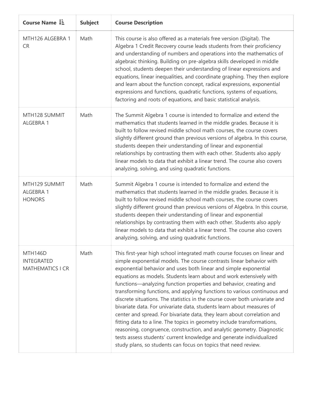| Course Name $\downarrow \frac{1}{2}$                           | <b>Subject</b> | <b>Course Description</b>                                                                                                                                                                                                                                                                                                                                                                                                                                                                                                                                                                                                                                                                                                                                                                                                                                                                                                                                                       |
|----------------------------------------------------------------|----------------|---------------------------------------------------------------------------------------------------------------------------------------------------------------------------------------------------------------------------------------------------------------------------------------------------------------------------------------------------------------------------------------------------------------------------------------------------------------------------------------------------------------------------------------------------------------------------------------------------------------------------------------------------------------------------------------------------------------------------------------------------------------------------------------------------------------------------------------------------------------------------------------------------------------------------------------------------------------------------------|
| MTH126 ALGEBRA 1<br><b>CR</b>                                  | Math           | This course is also offered as a materials free version (Digital). The<br>Algebra 1 Credit Recovery course leads students from their proficiency<br>and understanding of numbers and operations into the mathematics of<br>algebraic thinking. Building on pre-algebra skills developed in middle<br>school, students deepen their understanding of linear expressions and<br>equations, linear inequalities, and coordinate graphing. They then explore<br>and learn about the function concept, radical expressions, exponential<br>expressions and functions, quadratic functions, systems of equations,<br>factoring and roots of equations, and basic statistical analysis.                                                                                                                                                                                                                                                                                                |
| MTH128 SUMMIT<br>ALGEBRA 1                                     | Math           | The Summit Algebra 1 course is intended to formalize and extend the<br>mathematics that students learned in the middle grades. Because it is<br>built to follow revised middle school math courses, the course covers<br>slightly different ground than previous versions of algebra. In this course,<br>students deepen their understanding of linear and exponential<br>relationships by contrasting them with each other. Students also apply<br>linear models to data that exhibit a linear trend. The course also covers<br>analyzing, solving, and using quadratic functions.                                                                                                                                                                                                                                                                                                                                                                                             |
| MTH129 SUMMIT<br>ALGEBRA 1<br><b>HONORS</b>                    | Math           | Summit Algebra 1 course is intended to formalize and extend the<br>mathematics that students learned in the middle grades. Because it is<br>built to follow revised middle school math courses, the course covers<br>slightly different ground than previous versions of Algebra. In this course,<br>students deepen their understanding of linear and exponential<br>relationships by contrasting them with each other. Students also apply<br>linear models to data that exhibit a linear trend. The course also covers<br>analyzing, solving, and using quadratic functions.                                                                                                                                                                                                                                                                                                                                                                                                 |
| <b>MTH146D</b><br><b>INTEGRATED</b><br><b>MATHEMATICS I CR</b> | Math           | This first-year high school integrated math course focuses on linear and<br>simple exponential models. The course contrasts linear behavior with<br>exponential behavior and uses both linear and simple exponential<br>equations as models. Students learn about and work extensively with<br>functions-analyzing function properties and behavior, creating and<br>transforming functions, and applying functions to various continuous and<br>discrete situations. The statistics in the course cover both univariate and<br>bivariate data. For univariate data, students learn about measures of<br>center and spread. For bivariate data, they learn about correlation and<br>fitting data to a line. The topics in geometry include transformations,<br>reasoning, congruence, construction, and analytic geometry. Diagnostic<br>tests assess students' current knowledge and generate individualized<br>study plans, so students can focus on topics that need review. |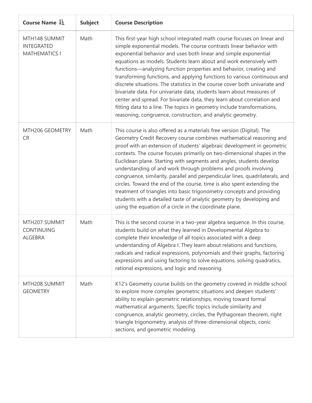| Course Name $1\overline{2}$                                | <b>Subject</b> | <b>Course Description</b>                                                                                                                                                                                                                                                                                                                                                                                                                                                                                                                                                                                                                                                                                                                                                                                                  |
|------------------------------------------------------------|----------------|----------------------------------------------------------------------------------------------------------------------------------------------------------------------------------------------------------------------------------------------------------------------------------------------------------------------------------------------------------------------------------------------------------------------------------------------------------------------------------------------------------------------------------------------------------------------------------------------------------------------------------------------------------------------------------------------------------------------------------------------------------------------------------------------------------------------------|
| MTH148 SUMMIT<br><b>INTEGRATED</b><br><b>MATHEMATICS I</b> | Math           | This first-year high school integrated math course focuses on linear and<br>simple exponential models. The course contrasts linear behavior with<br>exponential behavior and uses both linear and simple exponential<br>equations as models. Students learn about and work extensively with<br>functions-analyzing function properties and behavior, creating and<br>transforming functions, and applying functions to various continuous and<br>discrete situations. The statistics in the course cover both univariate and<br>bivariate data. For univariate data, students learn about measures of<br>center and spread. For bivariate data, they learn about correlation and<br>fitting data to a line. The topics in geometry include transformations,<br>reasoning, congruence, construction, and analytic geometry. |
| MTH206 GEOMETRY<br><b>CR</b>                               | Math           | This course is also offered as a materials free version (Digital). The<br>Geometry Credit Recovery course combines mathematical reasoning and<br>proof with an extension of students' algebraic development in geometric<br>contexts. The course focuses primarily on two-dimensional shapes in the<br>Euclidean plane. Starting with segments and angles, students develop<br>understanding of and work through problems and proofs involving<br>congruence, similarity, parallel and perpendicular lines, quadrilaterals, and<br>circles. Toward the end of the course, time is also spent extending the<br>treatment of triangles into basic trigonometry concepts and providing<br>students with a detailed taste of analytic geometry by developing and<br>using the equation of a circle in the coordinate plane.    |
| MTH207 SUMMIT<br><b>CONTINUING</b><br><b>ALGEBRA</b>       | Math           | This is the second course in a two-year algebra sequence. In this course,<br>students build on what they learned in Developmental Algebra to<br>complete their knowledge of all topics associated with a deep<br>understanding of Algebra I. They learn about relations and functions,<br>radicals and radical expressions, polynomials and their graphs, factoring<br>expressions and using factoring to solve equations, solving quadratics,<br>rational expressions, and logic and reasoning.                                                                                                                                                                                                                                                                                                                           |
| MTH208 SUMMIT<br><b>GEOMETRY</b>                           | Math           | K12's Geometry course builds on the geometry covered in middle school<br>to explore more complex geometric situations and deepen students'<br>ability to explain geometric relationships, moving toward formal<br>mathematical arguments. Specific topics include similarity and<br>congruence, analytic geometry, circles, the Pythagorean theorem, right<br>triangle trigonometry, analysis of three-dimensional objects, conic<br>sections, and geometric modeling.                                                                                                                                                                                                                                                                                                                                                     |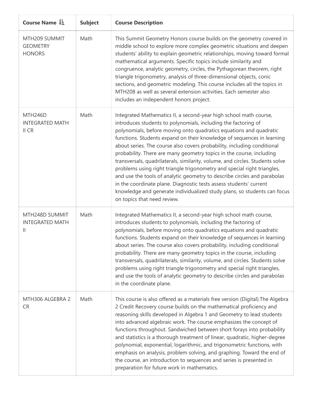| Course Name LE                                            | <b>Subject</b> | <b>Course Description</b>                                                                                                                                                                                                                                                                                                                                                                                                                                                                                                                                                                                                                                                                                                                                                                                                                                       |
|-----------------------------------------------------------|----------------|-----------------------------------------------------------------------------------------------------------------------------------------------------------------------------------------------------------------------------------------------------------------------------------------------------------------------------------------------------------------------------------------------------------------------------------------------------------------------------------------------------------------------------------------------------------------------------------------------------------------------------------------------------------------------------------------------------------------------------------------------------------------------------------------------------------------------------------------------------------------|
| MTH209 SUMMIT<br><b>GEOMETRY</b><br><b>HONORS</b>         | Math           | This Summit Geometry Honors course builds on the geometry covered in<br>middle school to explore more complex geometric situations and deepen<br>students' ability to explain geometric relationships, moving toward formal<br>mathematical arguments. Specific topics include similarity and<br>congruence, analytic geometry, circles, the Pythagorean theorem, right<br>triangle trigonometry, analysis of three-dimensional objects, conic<br>sections, and geometric modeling. This course includes all the topics in<br>MTH208 as well as several extension activities. Each semester also<br>includes an independent honors project.                                                                                                                                                                                                                     |
| MTH246D<br><b>INTEGRATED MATH</b><br>II CR                | Math           | Integrated Mathematics II, a second-year high school math course,<br>introduces students to polynomials, including the factoring of<br>polynomials, before moving onto quadratics equations and quadratic<br>functions. Students expand on their knowledge of sequences in learning<br>about series. The course also covers probability, including conditional<br>probability. There are many geometry topics in the course, including<br>transversals, quadrilaterals, similarity, volume, and circles. Students solve<br>problems using right triangle trigonometry and special right triangles,<br>and use the tools of analytic geometry to describe circles and parabolas<br>in the coordinate plane. Diagnostic tests assess students' current<br>knowledge and generate individualized study plans, so students can focus<br>on topics that need review. |
| MTH248D SUMMIT<br><b>INTEGRATED MATH</b><br>$\mathbf{  }$ | Math           | Integrated Mathematics II, a second-year high school math course,<br>introduces students to polynomials, including the factoring of<br>polynomials, before moving onto quadratics equations and quadratic<br>functions. Students expand on their knowledge of sequences in learning<br>about series. The course also covers probability, including conditional<br>probability. There are many geometry topics in the course, including<br>transversals, quadrilaterals, similarity, volume, and circles. Students solve<br>problems using right triangle trigonometry and special right triangles,<br>and use the tools of analytic geometry to describe circles and parabolas<br>in the coordinate plane.                                                                                                                                                      |
| MTH306 ALGEBRA 2<br><b>CR</b>                             | Math           | This course is also offered as a materials free version (Digital). The Algebra<br>2 Credit Recovery course builds on the mathematical proficiency and<br>reasoning skills developed in Algebra 1 and Geometry to lead students<br>into advanced algebraic work. The course emphasizes the concept of<br>functions throughout. Sandwiched between short forays into probability<br>and statistics is a thorough treatment of linear, quadratic, higher-degree<br>polynomial, exponential, logarithmic, and trigonometric functions, with<br>emphasis on analysis, problem solving, and graphing. Toward the end of<br>the course, an introduction to sequences and series is presented in<br>preparation for future work in mathematics.                                                                                                                         |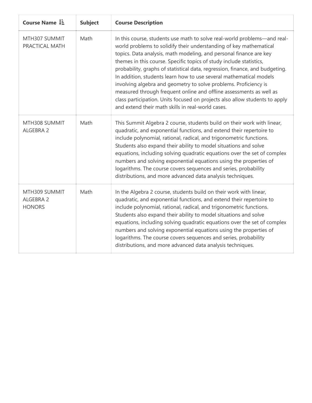| Course Name LE                              | <b>Subject</b> | <b>Course Description</b>                                                                                                                                                                                                                                                                                                                                                                                                                                                                                                                                                                                                                                                                                                        |
|---------------------------------------------|----------------|----------------------------------------------------------------------------------------------------------------------------------------------------------------------------------------------------------------------------------------------------------------------------------------------------------------------------------------------------------------------------------------------------------------------------------------------------------------------------------------------------------------------------------------------------------------------------------------------------------------------------------------------------------------------------------------------------------------------------------|
| MTH307 SUMMIT<br>PRACTICAL MATH             | Math           | In this course, students use math to solve real-world problems-and real-<br>world problems to solidify their understanding of key mathematical<br>topics. Data analysis, math modeling, and personal finance are key<br>themes in this course. Specific topics of study include statistics,<br>probability, graphs of statistical data, regression, finance, and budgeting.<br>In addition, students learn how to use several mathematical models<br>involving algebra and geometry to solve problems. Proficiency is<br>measured through frequent online and offline assessments as well as<br>class participation. Units focused on projects also allow students to apply<br>and extend their math skills in real-world cases. |
| MTH308 SUMMIT<br>ALGEBRA 2                  | Math           | This Summit Algebra 2 course, students build on their work with linear,<br>quadratic, and exponential functions, and extend their repertoire to<br>include polynomial, rational, radical, and trigonometric functions.<br>Students also expand their ability to model situations and solve<br>equations, including solving quadratic equations over the set of complex<br>numbers and solving exponential equations using the properties of<br>logarithms. The course covers sequences and series, probability<br>distributions, and more advanced data analysis techniques.                                                                                                                                                     |
| MTH309 SUMMIT<br>ALGEBRA 2<br><b>HONORS</b> | Math           | In the Algebra 2 course, students build on their work with linear,<br>quadratic, and exponential functions, and extend their repertoire to<br>include polynomial, rational, radical, and trigonometric functions.<br>Students also expand their ability to model situations and solve<br>equations, including solving quadratic equations over the set of complex<br>numbers and solving exponential equations using the properties of<br>logarithms. The course covers sequences and series, probability<br>distributions, and more advanced data analysis techniques.                                                                                                                                                          |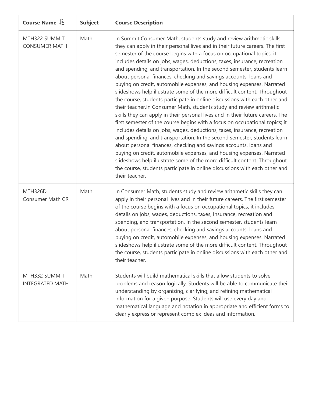| Course Name $\downarrow \exists$        | <b>Subject</b> | <b>Course Description</b>                                                                                                                                                                                                                                                                                                                                                                                                                                                                                                                                                                                                                                                                                                                                                                                                                                                                                                                                                                                                                                                                                                                                                                                                                                                                                                                                                                                                      |
|-----------------------------------------|----------------|--------------------------------------------------------------------------------------------------------------------------------------------------------------------------------------------------------------------------------------------------------------------------------------------------------------------------------------------------------------------------------------------------------------------------------------------------------------------------------------------------------------------------------------------------------------------------------------------------------------------------------------------------------------------------------------------------------------------------------------------------------------------------------------------------------------------------------------------------------------------------------------------------------------------------------------------------------------------------------------------------------------------------------------------------------------------------------------------------------------------------------------------------------------------------------------------------------------------------------------------------------------------------------------------------------------------------------------------------------------------------------------------------------------------------------|
| MTH322 SUMMIT<br><b>CONSUMER MATH</b>   | Math           | In Summit Consumer Math, students study and review arithmetic skills<br>they can apply in their personal lives and in their future careers. The first<br>semester of the course begins with a focus on occupational topics; it<br>includes details on jobs, wages, deductions, taxes, insurance, recreation<br>and spending, and transportation. In the second semester, students learn<br>about personal finances, checking and savings accounts, loans and<br>buying on credit, automobile expenses, and housing expenses. Narrated<br>slideshows help illustrate some of the more difficult content. Throughout<br>the course, students participate in online discussions with each other and<br>their teacher. In Consumer Math, students study and review arithmetic<br>skills they can apply in their personal lives and in their future careers. The<br>first semester of the course begins with a focus on occupational topics; it<br>includes details on jobs, wages, deductions, taxes, insurance, recreation<br>and spending, and transportation. In the second semester, students learn<br>about personal finances, checking and savings accounts, loans and<br>buying on credit, automobile expenses, and housing expenses. Narrated<br>slideshows help illustrate some of the more difficult content. Throughout<br>the course, students participate in online discussions with each other and<br>their teacher. |
| <b>MTH326D</b><br>Consumer Math CR      | Math           | In Consumer Math, students study and review arithmetic skills they can<br>apply in their personal lives and in their future careers. The first semester<br>of the course begins with a focus on occupational topics; it includes<br>details on jobs, wages, deductions, taxes, insurance, recreation and<br>spending, and transportation. In the second semester, students learn<br>about personal finances, checking and savings accounts, loans and<br>buying on credit, automobile expenses, and housing expenses. Narrated<br>slideshows help illustrate some of the more difficult content. Throughout<br>the course, students participate in online discussions with each other and<br>their teacher.                                                                                                                                                                                                                                                                                                                                                                                                                                                                                                                                                                                                                                                                                                                    |
| MTH332 SUMMIT<br><b>INTEGRATED MATH</b> | Math           | Students will build mathematical skills that allow students to solve<br>problems and reason logically. Students will be able to communicate their<br>understanding by organizing, clarifying, and refining mathematical<br>information for a given purpose. Students will use every day and<br>mathematical language and notation in appropriate and efficient forms to<br>clearly express or represent complex ideas and information.                                                                                                                                                                                                                                                                                                                                                                                                                                                                                                                                                                                                                                                                                                                                                                                                                                                                                                                                                                                         |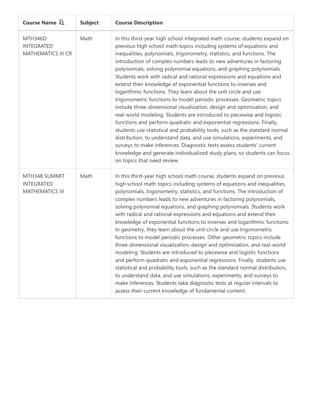| Course Name L=                                               | <b>Subject</b> | <b>Course Description</b>                                                                                                                                                                                                                                                                                                                                                                                                                                                                                                                                                                                                                                                                                                                                                                                                                                                                                                                                                                                                                                                                                                                                                                                                                     |
|--------------------------------------------------------------|----------------|-----------------------------------------------------------------------------------------------------------------------------------------------------------------------------------------------------------------------------------------------------------------------------------------------------------------------------------------------------------------------------------------------------------------------------------------------------------------------------------------------------------------------------------------------------------------------------------------------------------------------------------------------------------------------------------------------------------------------------------------------------------------------------------------------------------------------------------------------------------------------------------------------------------------------------------------------------------------------------------------------------------------------------------------------------------------------------------------------------------------------------------------------------------------------------------------------------------------------------------------------|
| MTH346D<br><b>INTEGRATED</b><br>MATHEMATICS III CR           | Math           | In this third-year high school integrated math course, students expand on<br>previous high school math topics including systems of equations and<br>inequalities, polynomials, trigonometry, statistics, and functions. The<br>introduction of complex numbers leads to new adventures in factoring<br>polynomials, solving polynomial equations, and graphing polynomials.<br>Students work with radical and rational expressions and equations and<br>extend their knowledge of exponential functions to inverses and<br>logarithmic functions. They learn about the unit circle and use<br>trigonometric functions to model periodic processes. Geometric topics<br>include three-dimensional visualization, design and optimization, and<br>real-world modeling. Students are introduced to piecewise and logistic<br>functions and perform quadratic and exponential regressions. Finally,<br>students use statistical and probability tools, such as the standard normal<br>distribution, to understand data, and use simulations, experiments, and<br>surveys to make inferences. Diagnostic tests assess students' current<br>knowledge and generate individualized study plans, so students can focus<br>on topics that need review. |
| MTH348 SUMMIT<br><b>INTEGRATED</b><br><b>MATHEMATICS III</b> | Math           | In this third-year high school math course, students expand on previous<br>high school math topics including systems of equations and inequalities,<br>polynomials, trigonometry, statistics, and functions. The introduction of<br>complex numbers leads to new adventures in factoring polynomials,<br>solving polynomial equations, and graphing polynomials. Students work<br>with radical and rational expressions and equations and extend their<br>knowledge of exponential functions to inverses and logarithmic functions.<br>In geometry, they learn about the unit circle and use trigonometric<br>functions to model periodic processes. Other geometric topics include<br>three-dimensional visualization, design and optimization, and real-world<br>modeling. Students are introduced to piecewise and logistic functions<br>and perform quadratic and exponential regressions. Finally, students use<br>statistical and probability tools, such as the standard normal distribution,<br>to understand data, and use simulations, experiments, and surveys to<br>make inferences. Students take diagnostic tests at regular intervals to<br>assess their current knowledge of fundamental content.                             |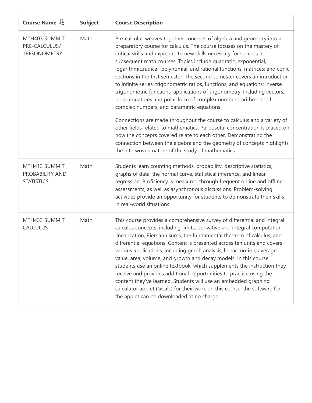| Course Name $\downarrow \frac{1}{2}$                  | <b>Subject</b> | <b>Course Description</b>                                                                                                                                                                                                                                                                                                                                                                                                                                                                                                                                                                                                                                                                                                                                                                                |
|-------------------------------------------------------|----------------|----------------------------------------------------------------------------------------------------------------------------------------------------------------------------------------------------------------------------------------------------------------------------------------------------------------------------------------------------------------------------------------------------------------------------------------------------------------------------------------------------------------------------------------------------------------------------------------------------------------------------------------------------------------------------------------------------------------------------------------------------------------------------------------------------------|
| MTH403 SUMMIT<br>PRE-CALCULUS/<br><b>TRIGONOMETRY</b> | Math           | Pre-calculus weaves together concepts of algebra and geometry into a<br>preparatory course for calculus. The course focuses on the mastery of<br>critical skills and exposure to new skills necessary for success in<br>subsequent math courses. Topics include quadratic, exponential,<br>logarithmic, radical, polynomial, and rational functions; matrices; and conic<br>sections in the first semester. The second semester covers an introduction<br>to infinite series, trigonometric ratios, functions, and equations; inverse<br>trigonometric functions; applications of trigonometry, including vectors;<br>polar equations and polar form of complex numbers; arithmetic of<br>complex numbers; and parametric equations.                                                                     |
|                                                       |                | Connections are made throughout the course to calculus and a variety of<br>other fields related to mathematics. Purposeful concentration is placed on<br>how the concepts covered relate to each other. Demonstrating the<br>connection between the algebra and the geometry of concepts highlights<br>the interwoven nature of the study of mathematics.                                                                                                                                                                                                                                                                                                                                                                                                                                                |
| MTH413 SUMMIT<br>PROBABILITY AND<br><b>STATISTICS</b> | Math           | Students learn counting methods, probability, descriptive statistics,<br>graphs of data, the normal curve, statistical inference, and linear<br>regression. Proficiency is measured through frequent online and offline<br>assessments, as well as asynchronous discussions. Problem-solving<br>activities provide an opportunity for students to demonstrate their skills<br>in real-world situations.                                                                                                                                                                                                                                                                                                                                                                                                  |
| MTH433 SUMMIT<br><b>CALCULUS</b>                      | Math           | This course provides a comprehensive survey of differential and integral<br>calculus concepts, including limits, derivative and integral computation,<br>linearization, Riemann sums, the fundamental theorem of calculus, and<br>differential equations. Content is presented across ten units and covers<br>various applications, including graph analysis, linear motion, average<br>value, area, volume, and growth and decay models. In this course<br>students use an online textbook, which supplements the instruction they<br>receive and provides additional opportunities to practice using the<br>content they've learned. Students will use an embedded graphing<br>calculator applet (GCalc) for their work on this course; the software for<br>the applet can be downloaded at no charge. |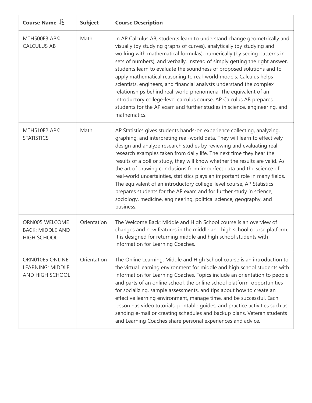| Course Name LE                                                  | <b>Subject</b> | <b>Course Description</b>                                                                                                                                                                                                                                                                                                                                                                                                                                                                                                                                                                                                                                                                                                                                                          |
|-----------------------------------------------------------------|----------------|------------------------------------------------------------------------------------------------------------------------------------------------------------------------------------------------------------------------------------------------------------------------------------------------------------------------------------------------------------------------------------------------------------------------------------------------------------------------------------------------------------------------------------------------------------------------------------------------------------------------------------------------------------------------------------------------------------------------------------------------------------------------------------|
| MTH500E3 AP®<br><b>CALCULUS AB</b>                              | Math           | In AP Calculus AB, students learn to understand change geometrically and<br>visually (by studying graphs of curves), analytically (by studying and<br>working with mathematical formulas), numerically (by seeing patterns in<br>sets of numbers), and verbally. Instead of simply getting the right answer,<br>students learn to evaluate the soundness of proposed solutions and to<br>apply mathematical reasoning to real-world models. Calculus helps<br>scientists, engineers, and financial analysts understand the complex<br>relationships behind real-world phenomena. The equivalent of an<br>introductory college-level calculus course, AP Calculus AB prepares<br>students for the AP exam and further studies in science, engineering, and<br>mathematics.          |
| MTH510E2 AP®<br><b>STATISTICS</b>                               | Math           | AP Statistics gives students hands-on experience collecting, analyzing,<br>graphing, and interpreting real-world data. They will learn to effectively<br>design and analyze research studies by reviewing and evaluating real<br>research examples taken from daily life. The next time they hear the<br>results of a poll or study, they will know whether the results are valid. As<br>the art of drawing conclusions from imperfect data and the science of<br>real-world uncertainties, statistics plays an important role in many fields.<br>The equivalent of an introductory college-level course, AP Statistics<br>prepares students for the AP exam and for further study in science,<br>sociology, medicine, engineering, political science, geography, and<br>business. |
| ORN005 WELCOME<br><b>BACK: MIDDLE AND</b><br><b>HIGH SCHOOL</b> | Orientation    | The Welcome Back: Middle and High School course is an overview of<br>changes and new features in the middle and high school course platform.<br>It is designed for returning middle and high school students with<br>information for Learning Coaches.                                                                                                                                                                                                                                                                                                                                                                                                                                                                                                                             |
| ORN010E5 ONLINE<br><b>LEARNING: MIDDLE</b><br>AND HIGH SCHOOL   | Orientation    | The Online Learning: Middle and High School course is an introduction to<br>the virtual learning environment for middle and high school students with<br>information for Learning Coaches. Topics include an orientation to people<br>and parts of an online school, the online school platform, opportunities<br>for socializing, sample assessments, and tips about how to create an<br>effective learning environment, manage time, and be successful. Each<br>lesson has video tutorials, printable guides, and practice activities such as<br>sending e-mail or creating schedules and backup plans. Veteran students<br>and Learning Coaches share personal experiences and advice.                                                                                          |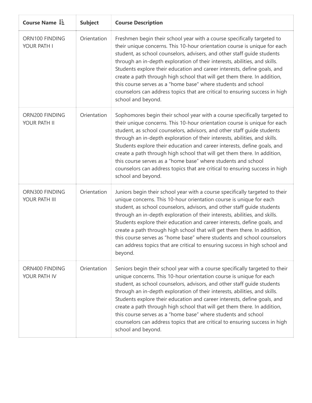|  | Course Name LE                  | <b>Subject</b> | <b>Course Description</b>                                                                                                                                                                                                                                                                                                                                                                                                                                                                                                                                                                                                                     |
|--|---------------------------------|----------------|-----------------------------------------------------------------------------------------------------------------------------------------------------------------------------------------------------------------------------------------------------------------------------------------------------------------------------------------------------------------------------------------------------------------------------------------------------------------------------------------------------------------------------------------------------------------------------------------------------------------------------------------------|
|  | ORN100 FINDING<br>YOUR PATH I   | Orientation    | Freshmen begin their school year with a course specifically targeted to<br>their unique concerns. This 10-hour orientation course is unique for each<br>student, as school counselors, advisers, and other staff quide students<br>through an in-depth exploration of their interests, abilities, and skills.<br>Students explore their education and career interests, define goals, and<br>create a path through high school that will get them there. In addition,<br>this course serves as a "home base" where students and school<br>counselors can address topics that are critical to ensuring success in high<br>school and beyond.   |
|  | ORN200 FINDING<br>YOUR PATH II  | Orientation    | Sophomores begin their school year with a course specifically targeted to<br>their unique concerns. This 10-hour orientation course is unique for each<br>student, as school counselors, advisors, and other staff guide students<br>through an in-depth exploration of their interests, abilities, and skills.<br>Students explore their education and career interests, define goals, and<br>create a path through high school that will get them there. In addition,<br>this course serves as a "home base" where students and school<br>counselors can address topics that are critical to ensuring success in high<br>school and beyond. |
|  | ORN300 FINDING<br>YOUR PATH III | Orientation    | Juniors begin their school year with a course specifically targeted to their<br>unique concerns. This 10-hour orientation course is unique for each<br>student, as school counselors, advisors, and other staff guide students<br>through an in-depth exploration of their interests, abilities, and skills.<br>Students explore their education and career interests, define goals, and<br>create a path through high school that will get them there. In addition,<br>this course serves as "home base" where students and school counselors<br>can address topics that are critical to ensuring success in high school and<br>beyond.      |
|  | ORN400 FINDING<br>YOUR PATH IV  | Orientation    | Seniors begin their school year with a course specifically targeted to their<br>unique concerns. This 10-hour orientation course is unique for each<br>student, as school counselors, advisors, and other staff guide students<br>through an in-depth exploration of their interests, abilities, and skills.<br>Students explore their education and career interests, define goals, and<br>create a path through high school that will get them there. In addition,<br>this course serves as a "home base" where students and school<br>counselors can address topics that are critical to ensuring success in high<br>school and beyond.    |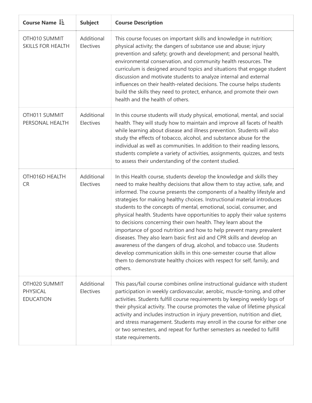| Course Name I=                                | <b>Subject</b>          | <b>Course Description</b>                                                                                                                                                                                                                                                                                                                                                                                                                                                                                                                                                                                                                                                                                                                                                                                                                                                                                             |
|-----------------------------------------------|-------------------------|-----------------------------------------------------------------------------------------------------------------------------------------------------------------------------------------------------------------------------------------------------------------------------------------------------------------------------------------------------------------------------------------------------------------------------------------------------------------------------------------------------------------------------------------------------------------------------------------------------------------------------------------------------------------------------------------------------------------------------------------------------------------------------------------------------------------------------------------------------------------------------------------------------------------------|
| OTH010 SUMMIT<br><b>SKILLS FOR HEALTH</b>     | Additional<br>Electives | This course focuses on important skills and knowledge in nutrition;<br>physical activity; the dangers of substance use and abuse; injury<br>prevention and safety; growth and development; and personal health,<br>environmental conservation, and community health resources. The<br>curriculum is designed around topics and situations that engage student<br>discussion and motivate students to analyze internal and external<br>influences on their health-related decisions. The course helps students<br>build the skills they need to protect, enhance, and promote their own<br>health and the health of others.                                                                                                                                                                                                                                                                                            |
| OTH011 SUMMIT<br>PERSONAL HEALTH              | Additional<br>Electives | In this course students will study physical, emotional, mental, and social<br>health. They will study how to maintain and improve all facets of health<br>while learning about disease and illness prevention. Students will also<br>study the effects of tobacco, alcohol, and substance abuse for the<br>individual as well as communities. In addition to their reading lessons,<br>students complete a variety of activities, assignments, quizzes, and tests<br>to assess their understanding of the content studied.                                                                                                                                                                                                                                                                                                                                                                                            |
| OTH016D HEALTH<br><b>CR</b>                   | Additional<br>Electives | In this Health course, students develop the knowledge and skills they<br>need to make healthy decisions that allow them to stay active, safe, and<br>informed. The course presents the components of a healthy lifestyle and<br>strategies for making healthy choices. Instructional material introduces<br>students to the concepts of mental, emotional, social, consumer, and<br>physical health. Students have opportunities to apply their value systems<br>to decisions concerning their own health. They learn about the<br>importance of good nutrition and how to help prevent many prevalent<br>diseases. They also learn basic first aid and CPR skills and develop an<br>awareness of the dangers of drug, alcohol, and tobacco use. Students<br>develop communication skills in this one-semester course that allow<br>them to demonstrate healthy choices with respect for self, family, and<br>others. |
| OTH020 SUMMIT<br>PHYSICAL<br><b>EDUCATION</b> | Additional<br>Electives | This pass/fail course combines online instructional guidance with student<br>participation in weekly cardiovascular, aerobic, muscle-toning, and other<br>activities. Students fulfill course requirements by keeping weekly logs of<br>their physical activity. The course promotes the value of lifetime physical<br>activity and includes instruction in injury prevention, nutrition and diet,<br>and stress management. Students may enroll in the course for either one<br>or two semesters, and repeat for further semesters as needed to fulfill<br>state requirements.                                                                                                                                                                                                                                                                                                                                       |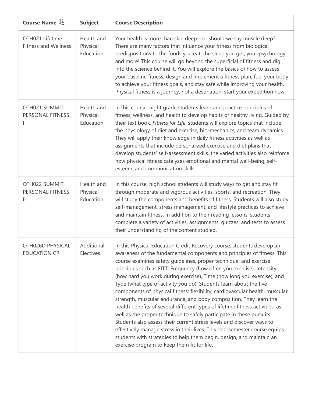| Course Name LE                                 | <b>Subject</b>                      | <b>Course Description</b>                                                                                                                                                                                                                                                                                                                                                                                                                                                                                                                                                                                                                                                                                                                                                                                                                                                                                                                                                                                                                     |
|------------------------------------------------|-------------------------------------|-----------------------------------------------------------------------------------------------------------------------------------------------------------------------------------------------------------------------------------------------------------------------------------------------------------------------------------------------------------------------------------------------------------------------------------------------------------------------------------------------------------------------------------------------------------------------------------------------------------------------------------------------------------------------------------------------------------------------------------------------------------------------------------------------------------------------------------------------------------------------------------------------------------------------------------------------------------------------------------------------------------------------------------------------|
| OTH021 Lifetime<br><b>Fitness and Wellness</b> | Health and<br>Physical<br>Education | Your health is more than skin deep-or should we say muscle deep?<br>There are many factors that influence your fitness from biological<br>predispositions to the foods you eat, the sleep you get, your psychology,<br>and more! This course will go beyond the superficial of fitness and dig<br>into the science behind it. You will explore the basics of how to assess<br>your baseline fitness, design and implement a fitness plan, fuel your body<br>to achieve your fitness goals, and stay safe while improving your health.<br>Physical fitness is a journey, not a destination: start your expedition now.                                                                                                                                                                                                                                                                                                                                                                                                                         |
| OTH021 SUMMIT<br>PERSONAL FITNESS              | Health and<br>Physical<br>Education | In this course, night grade students learn and practice principles of<br>fitness, wellness, and health to develop habits of healthy living. Guided by<br>their text book, Fitness for Life, students will explore topics that include<br>the physiology of diet and exercise, bio-mechanics, and team dynamics.<br>They will apply their knowledge in daily fitness activities as well as<br>assignments that include personalized exercise and diet plans that<br>develop students' self-assessment skills. the varied activities also reinforce<br>how physical fitness catalyzes emotional and mental well-being, self-<br>esteem, and communication skills.                                                                                                                                                                                                                                                                                                                                                                               |
| OTH022 SUMMIT<br>PERSONAL FITNESS<br>Ш         | Health and<br>Physical<br>Education | In this course, high school students will study ways to get and stay fit<br>through moderate and vigorous activities, sports, and recreation. They<br>will study the components and benefits of fitness. Students will also study<br>self-management, stress management, and lifestyle practices to achieve<br>and maintain fitness. In addition to their reading lessons, students<br>complete a variety of activities, assignments, quizzes, and tests to assess<br>their understanding of the content studied.                                                                                                                                                                                                                                                                                                                                                                                                                                                                                                                             |
| OTH026D PHYSICAL<br><b>EDUCATION CR</b>        | Additional<br>Electives             | In this Physical Education Credit Recovery course, students develop an<br>awareness of the fundamental components and principles of fitness. This<br>course examines safety guidelines, proper technique, and exercise<br>principles such as FITT: Frequency (how often you exercise), Intensity<br>(how hard you work during exercise), Time (how long you exercise), and<br>Type (what type of activity you do). Students learn about the five<br>components of physical fitness: flexibility, cardiovascular health, muscular<br>strength, muscular endurance, and body composition. They learn the<br>health benefits of several different types of lifetime fitness activities, as<br>well as the proper technique to safely participate in these pursuits.<br>Students also assess their current stress levels and discover ways to<br>effectively manage stress in their lives. This one-semester course equips<br>students with strategies to help them begin, design, and maintain an<br>exercise program to keep them fit for life. |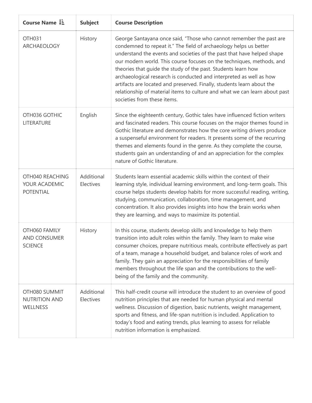| Course Name $\downarrow \frac{1}{2}$                     | <b>Subject</b>          | <b>Course Description</b>                                                                                                                                                                                                                                                                                                                                                                                                                                                                                                                                                                                                  |
|----------------------------------------------------------|-------------------------|----------------------------------------------------------------------------------------------------------------------------------------------------------------------------------------------------------------------------------------------------------------------------------------------------------------------------------------------------------------------------------------------------------------------------------------------------------------------------------------------------------------------------------------------------------------------------------------------------------------------------|
| <b>OTH031</b><br>ARCHAEOLOGY                             | History                 | George Santayana once said, "Those who cannot remember the past are<br>condemned to repeat it." The field of archaeology helps us better<br>understand the events and societies of the past that have helped shape<br>our modern world. This course focuses on the techniques, methods, and<br>theories that guide the study of the past. Students learn how<br>archaeological research is conducted and interpreted as well as how<br>artifacts are located and preserved. Finally, students learn about the<br>relationship of material items to culture and what we can learn about past<br>societies from these items. |
| OTH036 GOTHIC<br>LITERATURE                              | English                 | Since the eighteenth century, Gothic tales have influenced fiction writers<br>and fascinated readers. This course focuses on the major themes found in<br>Gothic literature and demonstrates how the core writing drivers produce<br>a suspenseful environment for readers. It presents some of the recurring<br>themes and elements found in the genre. As they complete the course,<br>students gain an understanding of and an appreciation for the complex<br>nature of Gothic literature.                                                                                                                             |
| OTH040 REACHING<br>YOUR ACADEMIC<br><b>POTENTIAL</b>     | Additional<br>Electives | Students learn essential academic skills within the context of their<br>learning style, individual learning environment, and long-term goals. This<br>course helps students develop habits for more successful reading, writing,<br>studying, communication, collaboration, time management, and<br>concentration. It also provides insights into how the brain works when<br>they are learning, and ways to maximize its potential.                                                                                                                                                                                       |
| OTH060 FAMILY<br><b>AND CONSUMER</b><br><b>SCIENCE</b>   | History                 | In this course, students develop skills and knowledge to help them<br>transition into adult roles within the family. They learn to make wise<br>consumer choices, prepare nutritious meals, contribute effectively as part<br>of a team, manage a household budget, and balance roles of work and<br>family. They gain an appreciation for the responsibilities of family<br>members throughout the life span and the contributions to the well-<br>being of the family and the community.                                                                                                                                 |
| OTH080 SUMMIT<br><b>NUTRITION AND</b><br><b>WELLNESS</b> | Additional<br>Electives | This half-credit course will introduce the student to an overview of good<br>nutrition principles that are needed for human physical and mental<br>wellness. Discussion of digestion, basic nutrients, weight management,<br>sports and fitness, and life-span nutrition is included. Application to<br>today's food and eating trends, plus learning to assess for reliable<br>nutrition information is emphasized.                                                                                                                                                                                                       |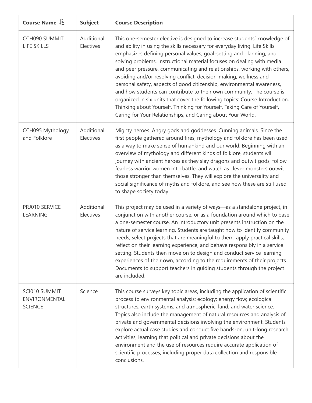| Course Name $\downarrow \exists$                 | <b>Subject</b>          | <b>Course Description</b>                                                                                                                                                                                                                                                                                                                                                                                                                                                                                                                                                                                                                                                                                                                                                                                                               |
|--------------------------------------------------|-------------------------|-----------------------------------------------------------------------------------------------------------------------------------------------------------------------------------------------------------------------------------------------------------------------------------------------------------------------------------------------------------------------------------------------------------------------------------------------------------------------------------------------------------------------------------------------------------------------------------------------------------------------------------------------------------------------------------------------------------------------------------------------------------------------------------------------------------------------------------------|
| OTH090 SUMMIT<br><b>LIFE SKILLS</b>              | Additional<br>Electives | This one-semester elective is designed to increase students' knowledge of<br>and ability in using the skills necessary for everyday living. Life Skills<br>emphasizes defining personal values, goal-setting and planning, and<br>solving problems. Instructional material focuses on dealing with media<br>and peer pressure, communicating and relationships, working with others,<br>avoiding and/or resolving conflict, decision-making, wellness and<br>personal safety, aspects of good citizenship, environmental awareness,<br>and how students can contribute to their own community. The course is<br>organized in six units that cover the following topics: Course Introduction,<br>Thinking about Yourself, Thinking for Yourself, Taking Care of Yourself,<br>Caring for Your Relationships, and Caring about Your World. |
| OTH095 Mythology<br>and Folklore                 | Additional<br>Electives | Mighty heroes. Angry gods and goddesses. Cunning animals. Since the<br>first people gathered around fires, mythology and folklore has been used<br>as a way to make sense of humankind and our world. Beginning with an<br>overview of mythology and different kinds of folklore, students will<br>journey with ancient heroes as they slay dragons and outwit gods, follow<br>fearless warrior women into battle, and watch as clever monsters outwit<br>those stronger than themselves. They will explore the universality and<br>social significance of myths and folklore, and see how these are still used<br>to shape society today.                                                                                                                                                                                              |
| PRJ010 SERVICE<br>LEARNING                       | Additional<br>Electives | This project may be used in a variety of ways-as a standalone project, in<br>conjunction with another course, or as a foundation around which to base<br>a one-semester course. An introductory unit presents instruction on the<br>nature of service learning. Students are taught how to identify community<br>needs, select projects that are meaningful to them, apply practical skills,<br>reflect on their learning experience, and behave responsibly in a service<br>setting. Students then move on to design and conduct service learning<br>experiences of their own, according to the requirements of their projects.<br>Documents to support teachers in guiding students through the project<br>are included.                                                                                                              |
| SCI010 SUMMIT<br>ENVIRONMENTAL<br><b>SCIENCE</b> | Science                 | This course surveys key topic areas, including the application of scientific<br>process to environmental analysis; ecology; energy flow; ecological<br>structures; earth systems; and atmospheric, land, and water science.<br>Topics also include the management of natural resources and analysis of<br>private and governmental decisions involving the environment. Students<br>explore actual case studies and conduct five hands-on, unit-long research<br>activities, learning that political and private decisions about the<br>environment and the use of resources require accurate application of<br>scientific processes, including proper data collection and responsible<br>conclusions.                                                                                                                                  |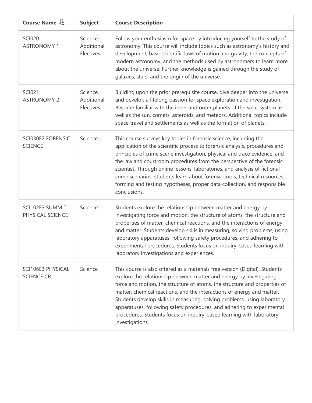| Course Name LE                         | <b>Subject</b>                      | <b>Course Description</b>                                                                                                                                                                                                                                                                                                                                                                                                                                                                                                                                    |
|----------------------------------------|-------------------------------------|--------------------------------------------------------------------------------------------------------------------------------------------------------------------------------------------------------------------------------------------------------------------------------------------------------------------------------------------------------------------------------------------------------------------------------------------------------------------------------------------------------------------------------------------------------------|
| <b>SCI020</b><br><b>ASTRONOMY 1</b>    | Science,<br>Additional<br>Electives | Follow your enthusiasm for space by introducing yourself to the study of<br>astronomy. This course will include topics such as astronomy's history and<br>development, basic scientific laws of motion and gravity, the concepts of<br>modern astronomy, and the methods used by astronomers to learn more<br>about the universe. Further knowledge is gained through the study of<br>galaxies, stars, and the origin of the universe.                                                                                                                       |
| <b>SCI021</b><br><b>ASTRONOMY 2</b>    | Science,<br>Additional<br>Electives | Building upon the prior prerequisite course, dive deeper into the universe<br>and develop a lifelong passion for space exploration and investigation.<br>Become familiar with the inner and outer planets of the solar system as<br>well as the sun, comets, asteroids, and meteors. Additional topics include<br>space travel and settlements as well as the formation of planets.                                                                                                                                                                          |
| SCI030E2 FORENSIC<br><b>SCIENCE</b>    | Science                             | This course surveys key topics in forensic science, including the<br>application of the scientific process to forensic analysis, procedures and<br>principles of crime scene investigation, physical and trace evidence, and<br>the law and courtroom procedures from the perspective of the forensic<br>scientist. Through online lessons, laboratories, and analysis of fictional<br>crime scenarios, students learn about forensic tools, technical resources,<br>forming and testing hypotheses, proper data collection, and responsible<br>conclusions. |
| SCI102E3 SUMMIT<br>PHYSICAL SCIENCE    | Science                             | Students explore the relationship between matter and energy by<br>investigating force and motion, the structure of atoms, the structure and<br>properties of matter, chemical reactions, and the interactions of energy<br>and matter. Students develop skills in measuring, solving problems, using<br>laboratory apparatuses, following safety procedures, and adhering to<br>experimental procedures. Students focus on inquiry-based learning with<br>laboratory investigations and experiences.                                                         |
| SCI106E3 PHYSICAL<br><b>SCIENCE CR</b> | Science                             | This course is also offered as a materials free version (Digital). Students<br>explore the relationship between matter and energy by investigating<br>force and motion, the structure of atoms, the structure and properties of<br>matter, chemical reactions, and the interactions of energy and matter.<br>Students develop skills in measuring, solving problems, using laboratory<br>apparatuses, following safety procedures, and adhering to experimental<br>procedures. Students focus on inquiry-based learning with laboratory<br>investigations.   |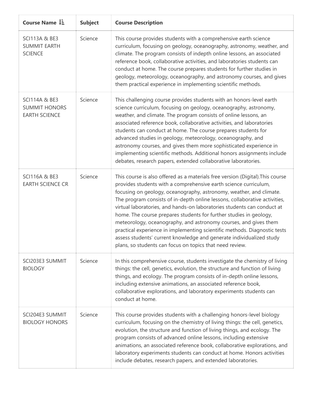| Course Name $\downarrow \frac{1}{2}$                                     | <b>Subject</b> | <b>Course Description</b>                                                                                                                                                                                                                                                                                                                                                                                                                                                                                                                                                                                                                                                                                                                     |
|--------------------------------------------------------------------------|----------------|-----------------------------------------------------------------------------------------------------------------------------------------------------------------------------------------------------------------------------------------------------------------------------------------------------------------------------------------------------------------------------------------------------------------------------------------------------------------------------------------------------------------------------------------------------------------------------------------------------------------------------------------------------------------------------------------------------------------------------------------------|
| <b>SCI113A &amp; BE3</b><br><b>SUMMIT EARTH</b><br><b>SCIENCE</b>        | Science        | This course provides students with a comprehensive earth science<br>curriculum, focusing on geology, oceanography, astronomy, weather, and<br>climate. The program consists of indepth online lessons, an associated<br>reference book, collaborative activities, and laboratories students can<br>conduct at home. The course prepares students for further studies in<br>geology, meteorology, oceanography, and astronomy courses, and gives<br>them practical experience in implementing scientific methods.                                                                                                                                                                                                                              |
| <b>SCI114A &amp; BE3</b><br><b>SUMMIT HONORS</b><br><b>EARTH SCIENCE</b> | Science        | This challenging course provides students with an honors-level earth<br>science curriculum, focusing on geology, oceanography, astronomy,<br>weather, and climate. The program consists of online lessons, an<br>associated reference book, collaborative activities, and laboratories<br>students can conduct at home. The course prepares students for<br>advanced studies in geology, meteorology, oceanography, and<br>astronomy courses, and gives them more sophisticated experience in<br>implementing scientific methods. Additional honors assignments include<br>debates, research papers, extended collaborative laboratories.                                                                                                     |
| <b>SCI116A &amp; BE3</b><br><b>EARTH SCIENCE CR</b>                      | Science        | This course is also offered as a materials free version (Digital). This course<br>provides students with a comprehensive earth science curriculum,<br>focusing on geology, oceanography, astronomy, weather, and climate.<br>The program consists of in-depth online lessons, collaborative activities,<br>virtual laboratories, and hands-on laboratories students can conduct at<br>home. The course prepares students for further studies in geology,<br>meteorology, oceanography, and astronomy courses, and gives them<br>practical experience in implementing scientific methods. Diagnostic tests<br>assess students' current knowledge and generate individualized study<br>plans, so students can focus on topics that need review. |
| SCI203E3 SUMMIT<br><b>BIOLOGY</b>                                        | Science        | In this comprehensive course, students investigate the chemistry of living<br>things: the cell, genetics, evolution, the structure and function of living<br>things, and ecology. The program consists of in-depth online lessons,<br>including extensive animations, an associated reference book,<br>collaborative explorations, and laboratory experiments students can<br>conduct at home.                                                                                                                                                                                                                                                                                                                                                |
| SCI204E3 SUMMIT<br><b>BIOLOGY HONORS</b>                                 | Science        | This course provides students with a challenging honors-level biology<br>curriculum, focusing on the chemistry of living things: the cell, genetics,<br>evolution, the structure and function of living things, and ecology. The<br>program consists of advanced online lessons, including extensive<br>animations, an associated reference book, collaborative explorations, and<br>laboratory experiments students can conduct at home. Honors activities<br>include debates, research papers, and extended laboratories.                                                                                                                                                                                                                   |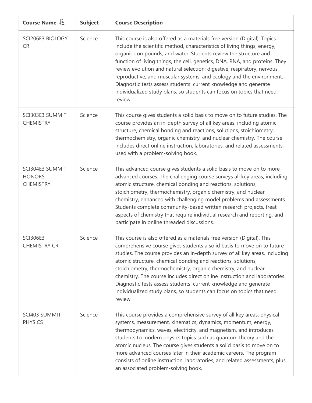| Course Name $1\overline{2}$                          | <b>Subject</b> | <b>Course Description</b>                                                                                                                                                                                                                                                                                                                                                                                                                                                                                                                                                                                           |
|------------------------------------------------------|----------------|---------------------------------------------------------------------------------------------------------------------------------------------------------------------------------------------------------------------------------------------------------------------------------------------------------------------------------------------------------------------------------------------------------------------------------------------------------------------------------------------------------------------------------------------------------------------------------------------------------------------|
| SCI206E3 BIOLOGY<br><b>CR</b>                        | Science        | This course is also offered as a materials free version (Digital). Topics<br>include the scientific method, characteristics of living things, energy,<br>organic compounds, and water. Students review the structure and<br>function of living things, the cell, genetics, DNA, RNA, and proteins. They<br>review evolution and natural selection; digestive, respiratory, nervous,<br>reproductive, and muscular systems; and ecology and the environment.<br>Diagnostic tests assess students' current knowledge and generate<br>individualized study plans, so students can focus on topics that need<br>review. |
| SCI303E3 SUMMIT<br><b>CHEMISTRY</b>                  | Science        | This course gives students a solid basis to move on to future studies. The<br>course provides an in-depth survey of all key areas, including atomic<br>structure, chemical bonding and reactions, solutions, stoichiometry,<br>thermochemistry, organic chemistry, and nuclear chemistry. The course<br>includes direct online instruction, laboratories, and related assessments,<br>used with a problem-solving book.                                                                                                                                                                                             |
| SCI304E3 SUMMIT<br><b>HONORS</b><br><b>CHEMISTRY</b> | Science        | This advanced course gives students a solid basis to move on to more<br>advanced courses. The challenging course surveys all key areas, including<br>atomic structure, chemical bonding and reactions, solutions,<br>stoichiometry, thermochemistry, organic chemistry, and nuclear<br>chemistry, enhanced with challenging model problems and assessments.<br>Students complete community-based written research projects, treat<br>aspects of chemistry that require individual research and reporting, and<br>participate in online threaded discussions.                                                        |
| <b>SCI306E3</b><br><b>CHEMISTRY CR</b>               | Science        | This course is also offered as a materials free version (Digital). This<br>comprehensive course gives students a solid basis to move on to future<br>studies. The course provides an in-depth survey of all key areas, including<br>atomic structure, chemical bonding and reactions, solutions,<br>stoichiometry, thermochemistry, organic chemistry, and nuclear<br>chemistry. The course includes direct online instruction and laboratories.<br>Diagnostic tests assess students' current knowledge and generate<br>individualized study plans, so students can focus on topics that need<br>review.            |
| SCI403 SUMMIT<br><b>PHYSICS</b>                      | Science        | This course provides a comprehensive survey of all key areas: physical<br>systems, measurement, kinematics, dynamics, momentum, energy,<br>thermodynamics, waves, electricity, and magnetism, and introduces<br>students to modern physics topics such as quantum theory and the<br>atomic nucleus. The course gives students a solid basis to move on to<br>more advanced courses later in their academic careers. The program<br>consists of online instruction, laboratories, and related assessments, plus<br>an associated problem-solving book.                                                               |

T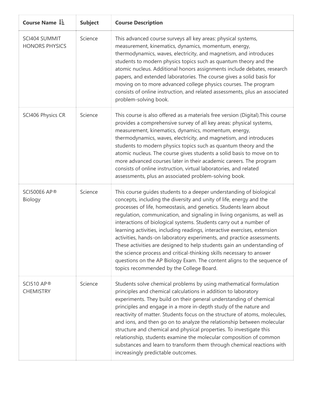| Course Name L=                         | <b>Subject</b> | <b>Course Description</b>                                                                                                                                                                                                                                                                                                                                                                                                                                                                                                                                                                                                                                                                                                                                                                           |
|----------------------------------------|----------------|-----------------------------------------------------------------------------------------------------------------------------------------------------------------------------------------------------------------------------------------------------------------------------------------------------------------------------------------------------------------------------------------------------------------------------------------------------------------------------------------------------------------------------------------------------------------------------------------------------------------------------------------------------------------------------------------------------------------------------------------------------------------------------------------------------|
| SCI404 SUMMIT<br><b>HONORS PHYSICS</b> | Science        | This advanced course surveys all key areas: physical systems,<br>measurement, kinematics, dynamics, momentum, energy,<br>thermodynamics, waves, electricity, and magnetism, and introduces<br>students to modern physics topics such as quantum theory and the<br>atomic nucleus. Additional honors assignments include debates, research<br>papers, and extended laboratories. The course gives a solid basis for<br>moving on to more advanced college physics courses. The program<br>consists of online instruction, and related assessments, plus an associated<br>problem-solving book.                                                                                                                                                                                                       |
| SCI406 Physics CR                      | Science        | This course is also offered as a materials free version (Digital). This course<br>provides a comprehensive survey of all key areas: physical systems,<br>measurement, kinematics, dynamics, momentum, energy,<br>thermodynamics, waves, electricity, and magnetism, and introduces<br>students to modern physics topics such as quantum theory and the<br>atomic nucleus. The course gives students a solid basis to move on to<br>more advanced courses later in their academic careers. The program<br>consists of online instruction, virtual laboratories, and related<br>assessments, plus an associated problem-solving book.                                                                                                                                                                 |
| SCI500E6 AP®<br>Biology                | Science        | This course guides students to a deeper understanding of biological<br>concepts, including the diversity and unity of life, energy and the<br>processes of life, homeostasis, and genetics. Students learn about<br>regulation, communication, and signaling in living organisms, as well as<br>interactions of biological systems. Students carry out a number of<br>learning activities, including readings, interactive exercises, extension<br>activities, hands-on laboratory experiments, and practice assessments.<br>These activities are designed to help students gain an understanding of<br>the science process and critical-thinking skills necessary to answer<br>questions on the AP Biology Exam. The content aligns to the sequence of<br>topics recommended by the College Board. |
| <b>SCI510 AP®</b><br><b>CHEMISTRY</b>  | Science        | Students solve chemical problems by using mathematical formulation<br>principles and chemical calculations in addition to laboratory<br>experiments. They build on their general understanding of chemical<br>principles and engage in a more in-depth study of the nature and<br>reactivity of matter. Students focus on the structure of atoms, molecules,<br>and ions, and then go on to analyze the relationship between molecular<br>structure and chemical and physical properties. To investigate this<br>relationship, students examine the molecular composition of common<br>substances and learn to transform them through chemical reactions with<br>increasingly predictable outcomes.                                                                                                 |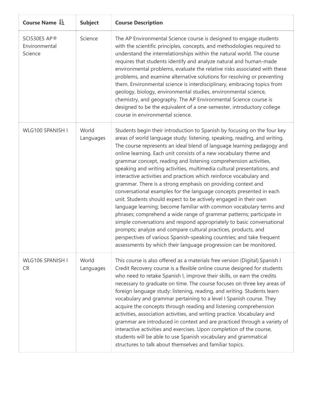| Course Name $1\overline{2}$              | <b>Subject</b>     | <b>Course Description</b>                                                                                                                                                                                                                                                                                                                                                                                                                                                                                                                                                                                                                                                                                                                                                                                                                                                                                                                                                                                                                                                                                                                                                      |
|------------------------------------------|--------------------|--------------------------------------------------------------------------------------------------------------------------------------------------------------------------------------------------------------------------------------------------------------------------------------------------------------------------------------------------------------------------------------------------------------------------------------------------------------------------------------------------------------------------------------------------------------------------------------------------------------------------------------------------------------------------------------------------------------------------------------------------------------------------------------------------------------------------------------------------------------------------------------------------------------------------------------------------------------------------------------------------------------------------------------------------------------------------------------------------------------------------------------------------------------------------------|
| SCI530E5 AP®<br>Environmental<br>Science | Science            | The AP Environmental Science course is designed to engage students<br>with the scientific principles, concepts, and methodologies required to<br>understand the interrelationships within the natural world. The course<br>requires that students identify and analyze natural and human-made<br>environmental problems, evaluate the relative risks associated with these<br>problems, and examine alternative solutions for resolving or preventing<br>them. Environmental science is interdisciplinary, embracing topics from<br>geology, biology, environmental studies, environmental science,<br>chemistry, and geography. The AP Environmental Science course is<br>designed to be the equivalent of a one-semester, introductory college<br>course in environmental science.                                                                                                                                                                                                                                                                                                                                                                                           |
| WLG100 SPANISH I                         | World<br>Languages | Students begin their introduction to Spanish by focusing on the four key<br>areas of world language study: listening, speaking, reading, and writing.<br>The course represents an ideal blend of language learning pedagogy and<br>online learning. Each unit consists of a new vocabulary theme and<br>grammar concept, reading and listening comprehension activities,<br>speaking and writing activities, multimedia cultural presentations, and<br>interactive activities and practices which reinforce vocabulary and<br>grammar. There is a strong emphasis on providing context and<br>conversational examples for the language concepts presented in each<br>unit. Students should expect to be actively engaged in their own<br>language learning; become familiar with common vocabulary terms and<br>phrases; comprehend a wide range of grammar patterns; participate in<br>simple conversations and respond appropriately to basic conversational<br>prompts; analyze and compare cultural practices, products, and<br>perspectives of various Spanish-speaking countries; and take frequent<br>assessments by which their language progression can be monitored. |
| WLG106 SPANISH I<br><b>CR</b>            | World<br>Languages | This course is also offered as a materials free version (Digital). Spanish I<br>Credit Recovery course is a flexible online course designed for students<br>who need to retake Spanish I, improve their skills, or earn the credits<br>necessary to graduate on time. The course focuses on three key areas of<br>foreign language study: listening, reading, and writing. Students learn<br>vocabulary and grammar pertaining to a level I Spanish course. They<br>acquire the concepts through reading and listening comprehension<br>activities, association activities, and writing practice. Vocabulary and<br>grammar are introduced in context and are practiced through a variety of<br>interactive activities and exercises. Upon completion of the course,<br>students will be able to use Spanish vocabulary and grammatical<br>structures to talk about themselves and familiar topics.                                                                                                                                                                                                                                                                            |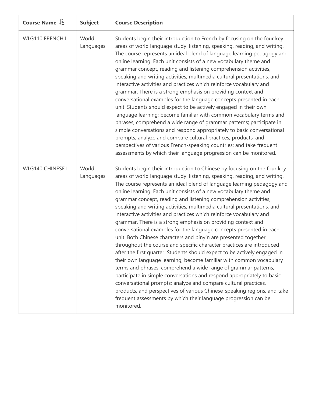| Course Name $\downarrow \frac{1}{2}$ | <b>Subject</b>     | <b>Course Description</b>                                                                                                                                                                                                                                                                                                                                                                                                                                                                                                                                                                                                                                                                                                                                                                                                                                                                                                                                                                                                                                                                                                                                                                                                                                                                                                                      |
|--------------------------------------|--------------------|------------------------------------------------------------------------------------------------------------------------------------------------------------------------------------------------------------------------------------------------------------------------------------------------------------------------------------------------------------------------------------------------------------------------------------------------------------------------------------------------------------------------------------------------------------------------------------------------------------------------------------------------------------------------------------------------------------------------------------------------------------------------------------------------------------------------------------------------------------------------------------------------------------------------------------------------------------------------------------------------------------------------------------------------------------------------------------------------------------------------------------------------------------------------------------------------------------------------------------------------------------------------------------------------------------------------------------------------|
| WLG110 FRENCH I                      | World<br>Languages | Students begin their introduction to French by focusing on the four key<br>areas of world language study: listening, speaking, reading, and writing.<br>The course represents an ideal blend of language learning pedagogy and<br>online learning. Each unit consists of a new vocabulary theme and<br>grammar concept, reading and listening comprehension activities,<br>speaking and writing activities, multimedia cultural presentations, and<br>interactive activities and practices which reinforce vocabulary and<br>grammar. There is a strong emphasis on providing context and<br>conversational examples for the language concepts presented in each<br>unit. Students should expect to be actively engaged in their own<br>language learning; become familiar with common vocabulary terms and<br>phrases; comprehend a wide range of grammar patterns; participate in<br>simple conversations and respond appropriately to basic conversational<br>prompts, analyze and compare cultural practices, products, and<br>perspectives of various French-speaking countries; and take frequent<br>assessments by which their language progression can be monitored.                                                                                                                                                                   |
| WLG140 CHINESE I                     | World<br>Languages | Students begin their introduction to Chinese by focusing on the four key<br>areas of world language study: listening, speaking, reading, and writing.<br>The course represents an ideal blend of language learning pedagogy and<br>online learning. Each unit consists of a new vocabulary theme and<br>grammar concept, reading and listening comprehension activities,<br>speaking and writing activities, multimedia cultural presentations, and<br>interactive activities and practices which reinforce vocabulary and<br>grammar. There is a strong emphasis on providing context and<br>conversational examples for the language concepts presented in each<br>unit. Both Chinese characters and pinyin are presented together<br>throughout the course and specific character practices are introduced<br>after the first quarter. Students should expect to be actively engaged in<br>their own language learning; become familiar with common vocabulary<br>terms and phrases; comprehend a wide range of grammar patterns;<br>participate in simple conversations and respond appropriately to basic<br>conversational prompts; analyze and compare cultural practices,<br>products, and perspectives of various Chinese-speaking regions, and take<br>frequent assessments by which their language progression can be<br>monitored. |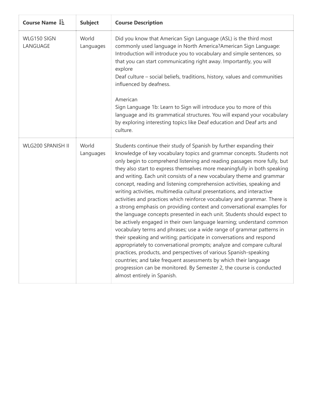| Course Name LE          | <b>Subject</b>     | <b>Course Description</b>                                                                                                                                                                                                                                                                                                                                                                                                                                                                                                                                                                                                                                                                                                                                                                                                                                                                                                                                                                                                                                                                                                                                                                                                                                                                                            |
|-------------------------|--------------------|----------------------------------------------------------------------------------------------------------------------------------------------------------------------------------------------------------------------------------------------------------------------------------------------------------------------------------------------------------------------------------------------------------------------------------------------------------------------------------------------------------------------------------------------------------------------------------------------------------------------------------------------------------------------------------------------------------------------------------------------------------------------------------------------------------------------------------------------------------------------------------------------------------------------------------------------------------------------------------------------------------------------------------------------------------------------------------------------------------------------------------------------------------------------------------------------------------------------------------------------------------------------------------------------------------------------|
| WLG150 SIGN<br>LANGUAGE | World<br>Languages | Did you know that American Sign Language (ASL) is the third most<br>commonly used language in North America? American Sign Language:<br>Introduction will introduce you to vocabulary and simple sentences, so<br>that you can start communicating right away. Importantly, you will<br>explore<br>Deaf culture - social beliefs, traditions, history, values and communities<br>influenced by deafness.<br>American<br>Sign Language 1b: Learn to Sign will introduce you to more of this<br>language and its grammatical structures. You will expand your vocabulary<br>by exploring interesting topics like Deaf education and Deaf arts and<br>culture.                                                                                                                                                                                                                                                                                                                                                                                                                                                                                                                                                                                                                                                          |
| WLG200 SPANISH II       | World<br>Languages | Students continue their study of Spanish by further expanding their<br>knowledge of key vocabulary topics and grammar concepts. Students not<br>only begin to comprehend listening and reading passages more fully, but<br>they also start to express themselves more meaningfully in both speaking<br>and writing. Each unit consists of a new vocabulary theme and grammar<br>concept, reading and listening comprehension activities, speaking and<br>writing activities, multimedia cultural presentations, and interactive<br>activities and practices which reinforce vocabulary and grammar. There is<br>a strong emphasis on providing context and conversational examples for<br>the language concepts presented in each unit. Students should expect to<br>be actively engaged in their own language learning; understand common<br>vocabulary terms and phrases; use a wide range of grammar patterns in<br>their speaking and writing; participate in conversations and respond<br>appropriately to conversational prompts; analyze and compare cultural<br>practices, products, and perspectives of various Spanish-speaking<br>countries; and take frequent assessments by which their language<br>progression can be monitored. By Semester 2, the course is conducted<br>almost entirely in Spanish. |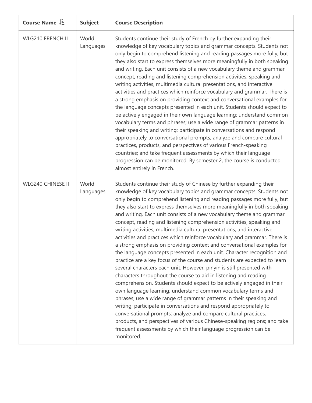| Course Name L=    | <b>Subject</b>     | <b>Course Description</b>                                                                                                                                                                                                                                                                                                                                                                                                                                                                                                                                                                                                                                                                                                                                                                                                                                                                                                                                                                                                                                                                                                                                                                                                                                                                                                                                                                                                                                                                                          |
|-------------------|--------------------|--------------------------------------------------------------------------------------------------------------------------------------------------------------------------------------------------------------------------------------------------------------------------------------------------------------------------------------------------------------------------------------------------------------------------------------------------------------------------------------------------------------------------------------------------------------------------------------------------------------------------------------------------------------------------------------------------------------------------------------------------------------------------------------------------------------------------------------------------------------------------------------------------------------------------------------------------------------------------------------------------------------------------------------------------------------------------------------------------------------------------------------------------------------------------------------------------------------------------------------------------------------------------------------------------------------------------------------------------------------------------------------------------------------------------------------------------------------------------------------------------------------------|
| WLG210 FRENCH II  | World<br>Languages | Students continue their study of French by further expanding their<br>knowledge of key vocabulary topics and grammar concepts. Students not<br>only begin to comprehend listening and reading passages more fully, but<br>they also start to express themselves more meaningfully in both speaking<br>and writing. Each unit consists of a new vocabulary theme and grammar<br>concept, reading and listening comprehension activities, speaking and<br>writing activities, multimedia cultural presentations, and interactive<br>activities and practices which reinforce vocabulary and grammar. There is<br>a strong emphasis on providing context and conversational examples for<br>the language concepts presented in each unit. Students should expect to<br>be actively engaged in their own language learning; understand common<br>vocabulary terms and phrases; use a wide range of grammar patterns in<br>their speaking and writing; participate in conversations and respond<br>appropriately to conversational prompts; analyze and compare cultural<br>practices, products, and perspectives of various French-speaking<br>countries; and take frequent assessments by which their language<br>progression can be monitored. By semester 2, the course is conducted<br>almost entirely in French.                                                                                                                                                                                                  |
| WLG240 CHINESE II | World<br>Languages | Students continue their study of Chinese by further expanding their<br>knowledge of key vocabulary topics and grammar concepts. Students not<br>only begin to comprehend listening and reading passages more fully, but<br>they also start to express themselves more meaningfully in both speaking<br>and writing. Each unit consists of a new vocabulary theme and grammar<br>concept, reading and listening comprehension activities, speaking and<br>writing activities, multimedia cultural presentations, and interactive<br>activities and practices which reinforce vocabulary and grammar. There is<br>a strong emphasis on providing context and conversational examples for<br>the language concepts presented in each unit. Character recognition and<br>practice are a key focus of the course and students are expected to learn<br>several characters each unit. However, pinyin is still presented with<br>characters throughout the course to aid in listening and reading<br>comprehension. Students should expect to be actively engaged in their<br>own language learning; understand common vocabulary terms and<br>phrases; use a wide range of grammar patterns in their speaking and<br>writing; participate in conversations and respond appropriately to<br>conversational prompts; analyze and compare cultural practices,<br>products, and perspectives of various Chinese-speaking regions; and take<br>frequent assessments by which their language progression can be<br>monitored. |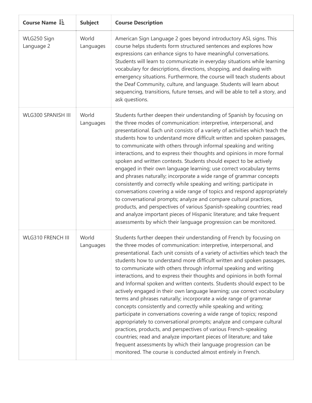| Course Name LE            | <b>Subject</b>     | <b>Course Description</b>                                                                                                                                                                                                                                                                                                                                                                                                                                                                                                                                                                                                                                                                                                                                                                                                                                                                                                                                                                                                                                                                                                                                                          |
|---------------------------|--------------------|------------------------------------------------------------------------------------------------------------------------------------------------------------------------------------------------------------------------------------------------------------------------------------------------------------------------------------------------------------------------------------------------------------------------------------------------------------------------------------------------------------------------------------------------------------------------------------------------------------------------------------------------------------------------------------------------------------------------------------------------------------------------------------------------------------------------------------------------------------------------------------------------------------------------------------------------------------------------------------------------------------------------------------------------------------------------------------------------------------------------------------------------------------------------------------|
| WLG250 Sign<br>Language 2 | World<br>Languages | American Sign Language 2 goes beyond introductory ASL signs. This<br>course helps students form structured sentences and explores how<br>expressions can enhance signs to have meaningful conversations.<br>Students will learn to communicate in everyday situations while learning<br>vocabulary for descriptions, directions, shopping, and dealing with<br>emergency situations. Furthermore, the course will teach students about<br>the Deaf Community, culture, and language. Students will learn about<br>sequencing, transitions, future tenses, and will be able to tell a story, and<br>ask questions.                                                                                                                                                                                                                                                                                                                                                                                                                                                                                                                                                                  |
| WLG300 SPANISH III        | World<br>Languages | Students further deepen their understanding of Spanish by focusing on<br>the three modes of communication: interpretive, interpersonal, and<br>presentational. Each unit consists of a variety of activities which teach the<br>students how to understand more difficult written and spoken passages,<br>to communicate with others through informal speaking and writing<br>interactions, and to express their thoughts and opinions in more formal<br>spoken and written contexts. Students should expect to be actively<br>engaged in their own language learning; use correct vocabulary terms<br>and phrases naturally; incorporate a wide range of grammar concepts<br>consistently and correctly while speaking and writing; participate in<br>conversations covering a wide range of topics and respond appropriately<br>to conversational prompts; analyze and compare cultural practices,<br>products, and perspectives of various Spanish-speaking countries; read<br>and analyze important pieces of Hispanic literature; and take frequent<br>assessments by which their language progression can be monitored.                                                      |
| <b>WLG310 FRENCH III</b>  | World<br>Languages | Students further deepen their understanding of French by focusing on<br>the three modes of communication: interpretive, interpersonal, and<br>presentational. Each unit consists of a variety of activities which teach the<br>students how to understand more difficult written and spoken passages,<br>to communicate with others through informal speaking and writing<br>interactions, and to express their thoughts and opinions in both formal<br>and Informal spoken and written contexts. Students should expect to be<br>actively engaged in their own language learning; use correct vocabulary<br>terms and phrases naturally; incorporate a wide range of grammar<br>concepts consistently and correctly while speaking and writing;<br>participate in conversations covering a wide range of topics; respond<br>appropriately to conversational prompts; analyze and compare cultural<br>practices, products, and perspectives of various French-speaking<br>countries; read and analyze important pieces of literature; and take<br>frequent assessments by which their language progression can be<br>monitored. The course is conducted almost entirely in French. |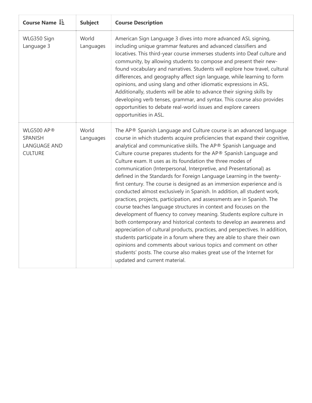| Course Name $\downarrow \frac{1}{2}$                           | <b>Subject</b>     | <b>Course Description</b>                                                                                                                                                                                                                                                                                                                                                                                                                                                                                                                                                                                                                                                                                                                                                                                                                                                                                                                                                                                                                                                                                                                                                                                                                                                                              |
|----------------------------------------------------------------|--------------------|--------------------------------------------------------------------------------------------------------------------------------------------------------------------------------------------------------------------------------------------------------------------------------------------------------------------------------------------------------------------------------------------------------------------------------------------------------------------------------------------------------------------------------------------------------------------------------------------------------------------------------------------------------------------------------------------------------------------------------------------------------------------------------------------------------------------------------------------------------------------------------------------------------------------------------------------------------------------------------------------------------------------------------------------------------------------------------------------------------------------------------------------------------------------------------------------------------------------------------------------------------------------------------------------------------|
| WLG350 Sign<br>Language 3                                      | World<br>Languages | American Sign Language 3 dives into more advanced ASL signing,<br>including unique grammar features and advanced classifiers and<br>locatives. This third-year course immerses students into Deaf culture and<br>community, by allowing students to compose and present their new-<br>found vocabulary and narratives. Students will explore how travel, cultural<br>differences, and geography affect sign language, while learning to form<br>opinions, and using slang and other idiomatic expressions in ASL.<br>Additionally, students will be able to advance their signing skills by<br>developing verb tenses, grammar, and syntax. This course also provides<br>opportunities to debate real-world issues and explore careers<br>opportunities in ASL.                                                                                                                                                                                                                                                                                                                                                                                                                                                                                                                                        |
| WLG500 AP®<br>SPANISH<br><b>LANGUAGE AND</b><br><b>CULTURE</b> | World<br>Languages | The AP® Spanish Language and Culture course is an advanced language<br>course in which students acquire proficiencies that expand their cognitive,<br>analytical and communicative skills. The AP® Spanish Language and<br>Culture course prepares students for the AP® Spanish Language and<br>Culture exam. It uses as its foundation the three modes of<br>communication (Interpersonal, Interpretive, and Presentational) as<br>defined in the Standards for Foreign Language Learning in the twenty-<br>first century. The course is designed as an immersion experience and is<br>conducted almost exclusively in Spanish. In addition, all student work,<br>practices, projects, participation, and assessments are in Spanish. The<br>course teaches language structures in context and focuses on the<br>development of fluency to convey meaning. Students explore culture in<br>both contemporary and historical contexts to develop an awareness and<br>appreciation of cultural products, practices, and perspectives. In addition,<br>students participate in a forum where they are able to share their own<br>opinions and comments about various topics and comment on other<br>students' posts. The course also makes great use of the Internet for<br>updated and current material. |